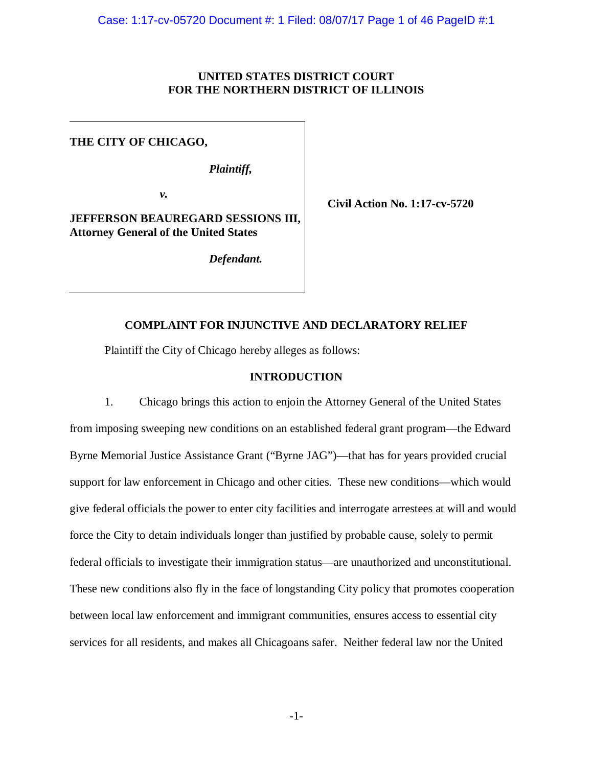# **UNITED STATES DISTRICT COURT FOR THE NORTHERN DISTRICT OF ILLINOIS**

# **THE CITY OF CHICAGO,**

*Plaintiff,*

 *v.* 

**JEFFERSON BEAUREGARD SESSIONS III, Attorney General of the United States**

*Defendant.*

**Civil Action No. 1:17-cv-5720**

# **COMPLAINT FOR INJUNCTIVE AND DECLARATORY RELIEF**

Plaintiff the City of Chicago hereby alleges as follows:

# **INTRODUCTION**

1. Chicago brings this action to enjoin the Attorney General of the United States from imposing sweeping new conditions on an established federal grant program—the Edward Byrne Memorial Justice Assistance Grant ("Byrne JAG")—that has for years provided crucial support for law enforcement in Chicago and other cities. These new conditions—which would give federal officials the power to enter city facilities and interrogate arrestees at will and would force the City to detain individuals longer than justified by probable cause, solely to permit federal officials to investigate their immigration status—are unauthorized and unconstitutional. These new conditions also fly in the face of longstanding City policy that promotes cooperation between local law enforcement and immigrant communities, ensures access to essential city services for all residents, and makes all Chicagoans safer. Neither federal law nor the United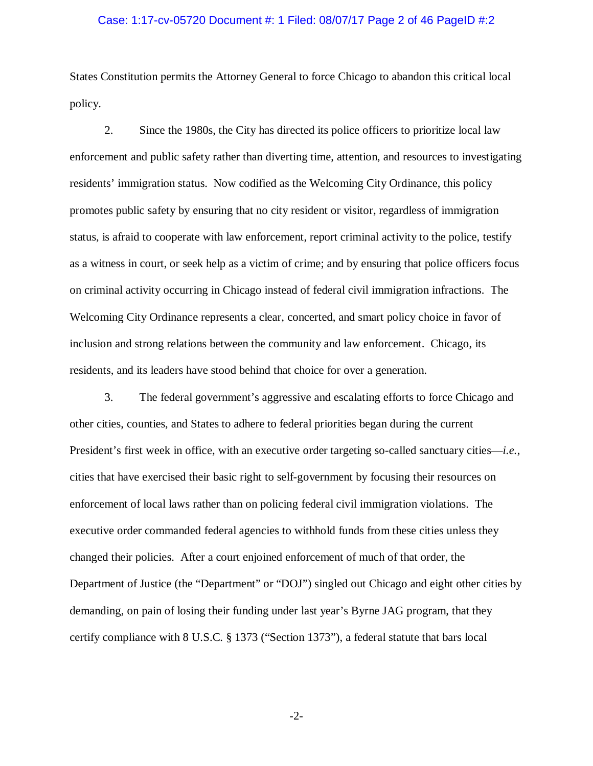### Case: 1:17-cv-05720 Document #: 1 Filed: 08/07/17 Page 2 of 46 PageID #:2

States Constitution permits the Attorney General to force Chicago to abandon this critical local policy.

2. Since the 1980s, the City has directed its police officers to prioritize local law enforcement and public safety rather than diverting time, attention, and resources to investigating residents' immigration status. Now codified as the Welcoming City Ordinance, this policy promotes public safety by ensuring that no city resident or visitor, regardless of immigration status, is afraid to cooperate with law enforcement, report criminal activity to the police, testify as a witness in court, or seek help as a victim of crime; and by ensuring that police officers focus on criminal activity occurring in Chicago instead of federal civil immigration infractions. The Welcoming City Ordinance represents a clear, concerted, and smart policy choice in favor of inclusion and strong relations between the community and law enforcement. Chicago, its residents, and its leaders have stood behind that choice for over a generation.

3. The federal government's aggressive and escalating efforts to force Chicago and other cities, counties, and States to adhere to federal priorities began during the current President's first week in office, with an executive order targeting so-called sanctuary cities—*i.e.*, cities that have exercised their basic right to self-government by focusing their resources on enforcement of local laws rather than on policing federal civil immigration violations. The executive order commanded federal agencies to withhold funds from these cities unless they changed their policies. After a court enjoined enforcement of much of that order, the Department of Justice (the "Department" or "DOJ") singled out Chicago and eight other cities by demanding, on pain of losing their funding under last year's Byrne JAG program, that they certify compliance with 8 U.S.C. § 1373 ("Section 1373"), a federal statute that bars local

-2-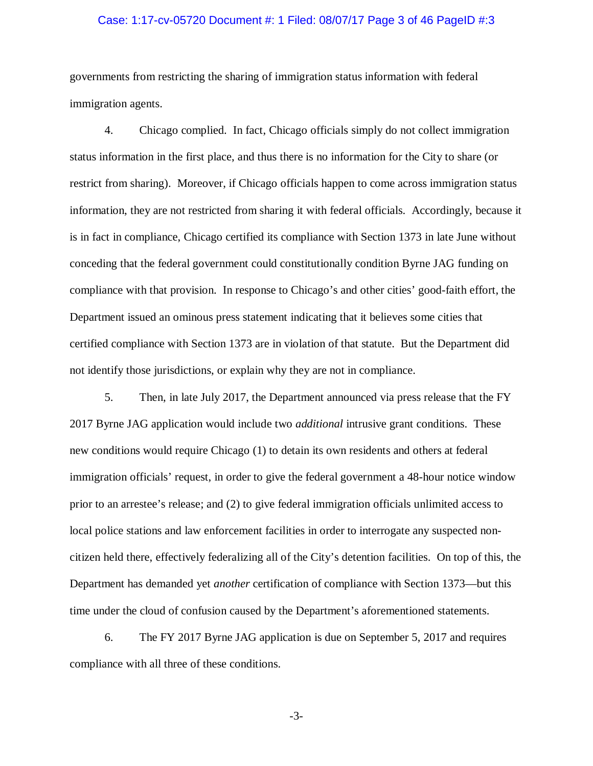### Case: 1:17-cv-05720 Document #: 1 Filed: 08/07/17 Page 3 of 46 PageID #:3

governments from restricting the sharing of immigration status information with federal immigration agents.

4. Chicago complied. In fact, Chicago officials simply do not collect immigration status information in the first place, and thus there is no information for the City to share (or restrict from sharing). Moreover, if Chicago officials happen to come across immigration status information, they are not restricted from sharing it with federal officials. Accordingly, because it is in fact in compliance, Chicago certified its compliance with Section 1373 in late June without conceding that the federal government could constitutionally condition Byrne JAG funding on compliance with that provision. In response to Chicago's and other cities' good-faith effort, the Department issued an ominous press statement indicating that it believes some cities that certified compliance with Section 1373 are in violation of that statute. But the Department did not identify those jurisdictions, or explain why they are not in compliance.

5. Then, in late July 2017, the Department announced via press release that the FY 2017 Byrne JAG application would include two *additional* intrusive grant conditions. These new conditions would require Chicago (1) to detain its own residents and others at federal immigration officials' request, in order to give the federal government a 48-hour notice window prior to an arrestee's release; and (2) to give federal immigration officials unlimited access to local police stations and law enforcement facilities in order to interrogate any suspected noncitizen held there, effectively federalizing all of the City's detention facilities. On top of this, the Department has demanded yet *another* certification of compliance with Section 1373—but this time under the cloud of confusion caused by the Department's aforementioned statements.

6. The FY 2017 Byrne JAG application is due on September 5, 2017 and requires compliance with all three of these conditions.

-3-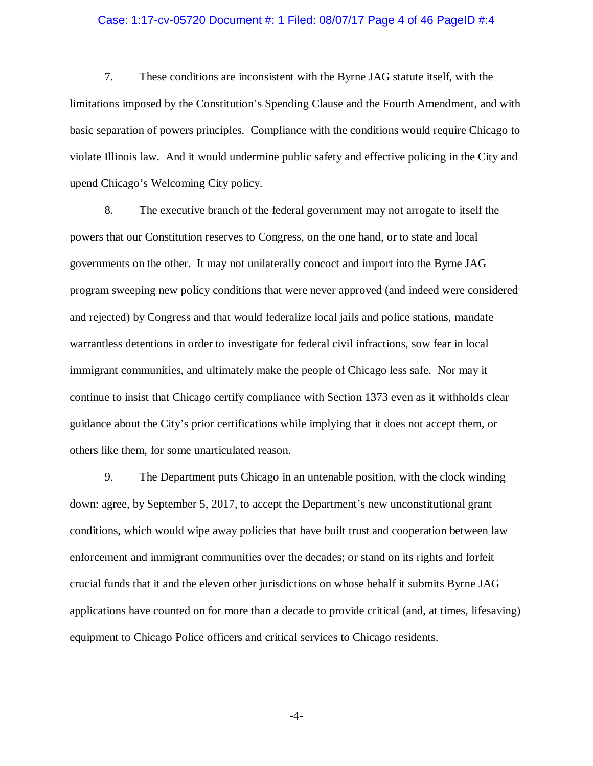### Case: 1:17-cv-05720 Document #: 1 Filed: 08/07/17 Page 4 of 46 PageID #:4

7. These conditions are inconsistent with the Byrne JAG statute itself, with the limitations imposed by the Constitution's Spending Clause and the Fourth Amendment, and with basic separation of powers principles. Compliance with the conditions would require Chicago to violate Illinois law. And it would undermine public safety and effective policing in the City and upend Chicago's Welcoming City policy.

8. The executive branch of the federal government may not arrogate to itself the powers that our Constitution reserves to Congress, on the one hand, or to state and local governments on the other. It may not unilaterally concoct and import into the Byrne JAG program sweeping new policy conditions that were never approved (and indeed were considered and rejected) by Congress and that would federalize local jails and police stations, mandate warrantless detentions in order to investigate for federal civil infractions, sow fear in local immigrant communities, and ultimately make the people of Chicago less safe. Nor may it continue to insist that Chicago certify compliance with Section 1373 even as it withholds clear guidance about the City's prior certifications while implying that it does not accept them, or others like them, for some unarticulated reason.

9. The Department puts Chicago in an untenable position, with the clock winding down: agree, by September 5, 2017, to accept the Department's new unconstitutional grant conditions, which would wipe away policies that have built trust and cooperation between law enforcement and immigrant communities over the decades; or stand on its rights and forfeit crucial funds that it and the eleven other jurisdictions on whose behalf it submits Byrne JAG applications have counted on for more than a decade to provide critical (and, at times, lifesaving) equipment to Chicago Police officers and critical services to Chicago residents.

-4-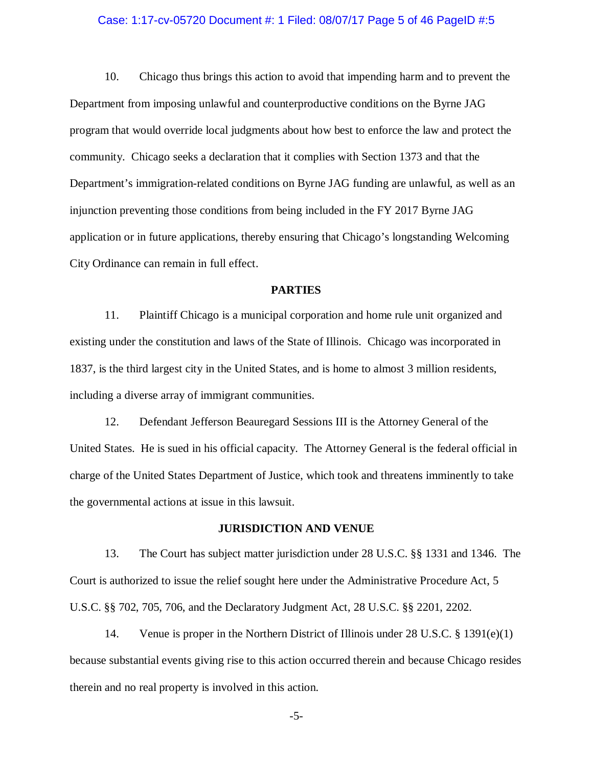### Case: 1:17-cv-05720 Document #: 1 Filed: 08/07/17 Page 5 of 46 PageID #:5

10. Chicago thus brings this action to avoid that impending harm and to prevent the Department from imposing unlawful and counterproductive conditions on the Byrne JAG program that would override local judgments about how best to enforce the law and protect the community. Chicago seeks a declaration that it complies with Section 1373 and that the Department's immigration-related conditions on Byrne JAG funding are unlawful, as well as an injunction preventing those conditions from being included in the FY 2017 Byrne JAG application or in future applications, thereby ensuring that Chicago's longstanding Welcoming City Ordinance can remain in full effect.

### **PARTIES**

11. Plaintiff Chicago is a municipal corporation and home rule unit organized and existing under the constitution and laws of the State of Illinois. Chicago was incorporated in 1837, is the third largest city in the United States, and is home to almost 3 million residents, including a diverse array of immigrant communities.

12. Defendant Jefferson Beauregard Sessions III is the Attorney General of the United States. He is sued in his official capacity. The Attorney General is the federal official in charge of the United States Department of Justice, which took and threatens imminently to take the governmental actions at issue in this lawsuit.

### **JURISDICTION AND VENUE**

13. The Court has subject matter jurisdiction under 28 U.S.C. §§ 1331 and 1346. The Court is authorized to issue the relief sought here under the Administrative Procedure Act, 5 U.S.C. §§ 702, 705, 706, and the Declaratory Judgment Act, 28 U.S.C. §§ 2201, 2202.

14. Venue is proper in the Northern District of Illinois under 28 U.S.C. § 1391(e)(1) because substantial events giving rise to this action occurred therein and because Chicago resides therein and no real property is involved in this action.

-5-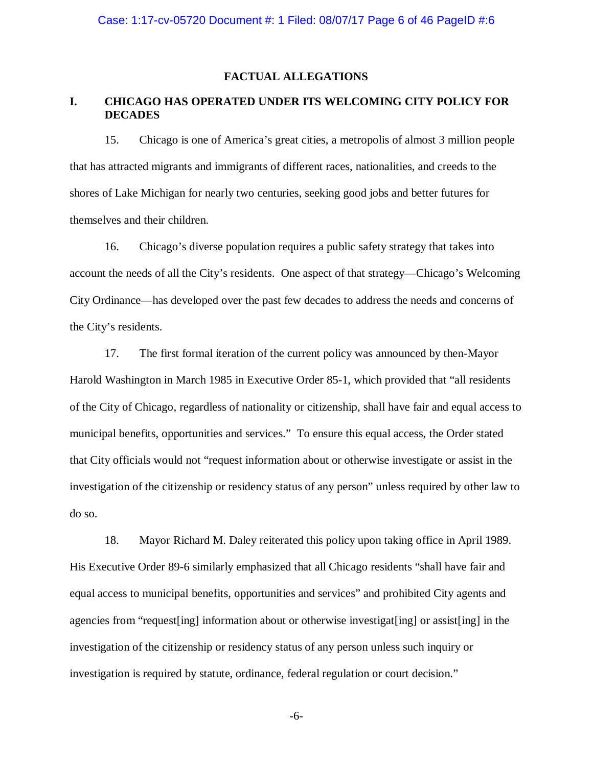### **FACTUAL ALLEGATIONS**

# **I. CHICAGO HAS OPERATED UNDER ITS WELCOMING CITY POLICY FOR DECADES**

15. Chicago is one of America's great cities, a metropolis of almost 3 million people that has attracted migrants and immigrants of different races, nationalities, and creeds to the shores of Lake Michigan for nearly two centuries, seeking good jobs and better futures for themselves and their children.

16. Chicago's diverse population requires a public safety strategy that takes into account the needs of all the City's residents. One aspect of that strategy—Chicago's Welcoming City Ordinance—has developed over the past few decades to address the needs and concerns of the City's residents.

17. The first formal iteration of the current policy was announced by then-Mayor Harold Washington in March 1985 in Executive Order 85-1, which provided that "all residents of the City of Chicago, regardless of nationality or citizenship, shall have fair and equal access to municipal benefits, opportunities and services." To ensure this equal access, the Order stated that City officials would not "request information about or otherwise investigate or assist in the investigation of the citizenship or residency status of any person" unless required by other law to do so.

18. Mayor Richard M. Daley reiterated this policy upon taking office in April 1989. His Executive Order 89-6 similarly emphasized that all Chicago residents "shall have fair and equal access to municipal benefits, opportunities and services" and prohibited City agents and agencies from "request [ing] information about or otherwise investigat [ing] or assist [ing] in the investigation of the citizenship or residency status of any person unless such inquiry or investigation is required by statute, ordinance, federal regulation or court decision."

-6-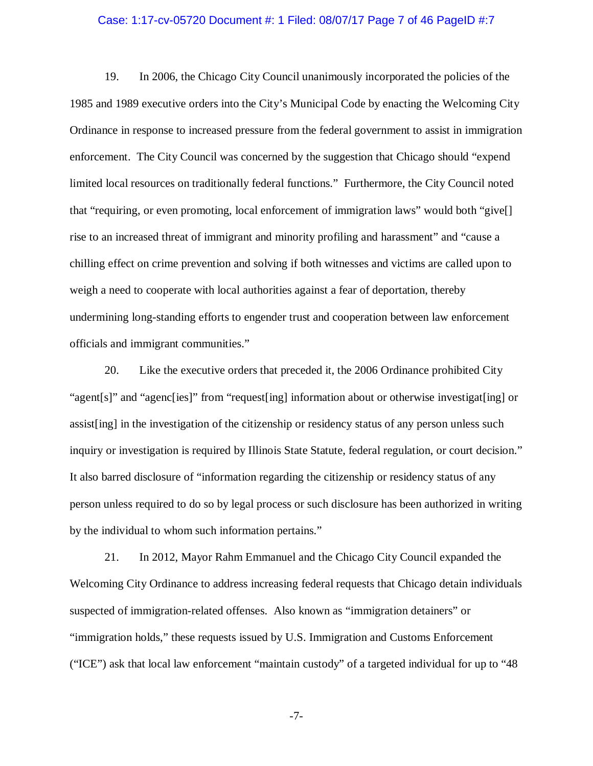### Case: 1:17-cv-05720 Document #: 1 Filed: 08/07/17 Page 7 of 46 PageID #:7

19. In 2006, the Chicago City Council unanimously incorporated the policies of the 1985 and 1989 executive orders into the City's Municipal Code by enacting the Welcoming City Ordinance in response to increased pressure from the federal government to assist in immigration enforcement. The City Council was concerned by the suggestion that Chicago should "expend limited local resources on traditionally federal functions." Furthermore, the City Council noted that "requiring, or even promoting, local enforcement of immigration laws" would both "give[] rise to an increased threat of immigrant and minority profiling and harassment" and "cause a chilling effect on crime prevention and solving if both witnesses and victims are called upon to weigh a need to cooperate with local authorities against a fear of deportation, thereby undermining long-standing efforts to engender trust and cooperation between law enforcement officials and immigrant communities."

20. Like the executive orders that preceded it, the 2006 Ordinance prohibited City "agent[s]" and "agenc[ies]" from "request[ing] information about or otherwise investigat[ing] or assist[ing] in the investigation of the citizenship or residency status of any person unless such inquiry or investigation is required by Illinois State Statute, federal regulation, or court decision." It also barred disclosure of "information regarding the citizenship or residency status of any person unless required to do so by legal process or such disclosure has been authorized in writing by the individual to whom such information pertains."

21. In 2012, Mayor Rahm Emmanuel and the Chicago City Council expanded the Welcoming City Ordinance to address increasing federal requests that Chicago detain individuals suspected of immigration-related offenses. Also known as "immigration detainers" or "immigration holds," these requests issued by U.S. Immigration and Customs Enforcement ("ICE") ask that local law enforcement "maintain custody" of a targeted individual for up to "48

-7-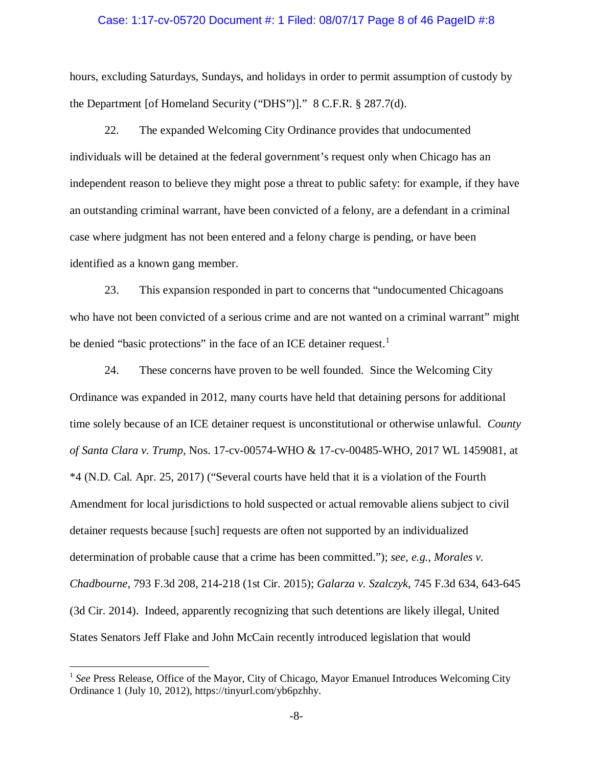### Case: 1:17-cv-05720 Document #: 1 Filed: 08/07/17 Page 8 of 46 PageID #:8

hours, excluding Saturdays, Sundays, and holidays in order to permit assumption of custody by the Department [of Homeland Security ("DHS")]." 8 C.F.R. § 287.7(d).

22. The expanded Welcoming City Ordinance provides that undocumented individuals will be detained at the federal government's request only when Chicago has an independent reason to believe they might pose a threat to public safety: for example, if they have an outstanding criminal warrant, have been convicted of a felony, are a defendant in a criminal case where judgment has not been entered and a felony charge is pending, or have been identified as a known gang member.

23. This expansion responded in part to concerns that "undocumented Chicagoans who have not been convicted of a serious crime and are not wanted on a criminal warrant" might be denied "basic protections" in the face of an ICE detainer request.<sup>[1](#page-7-0)</sup>

24. These concerns have proven to be well founded. Since the Welcoming City Ordinance was expanded in 2012, many courts have held that detaining persons for additional time solely because of an ICE detainer request is unconstitutional or otherwise unlawful. *County of Santa Clara v. Trump*, Nos. 17-cv-00574-WHO & 17-cv-00485-WHO, 2017 WL 1459081, at \*4 (N.D. Cal. Apr. 25, 2017) ("Several courts have held that it is a violation of the Fourth Amendment for local jurisdictions to hold suspected or actual removable aliens subject to civil detainer requests because [such] requests are often not supported by an individualized determination of probable cause that a crime has been committed."); *see, e.g.*, *Morales v. Chadbourne*, 793 F.3d 208, 214-218 (1st Cir. 2015); *Galarza v. Szalczyk*, 745 F.3d 634, 643-645 (3d Cir. 2014). Indeed, apparently recognizing that such detentions are likely illegal, United States Senators Jeff Flake and John McCain recently introduced legislation that would

<span id="page-7-0"></span><sup>&</sup>lt;sup>1</sup> See Press Release, Office of the Mayor, City of Chicago, Mayor Emanuel Introduces Welcoming City Ordinance 1 (July 10, 2012), https://tinyurl.com/yb6pzhhy.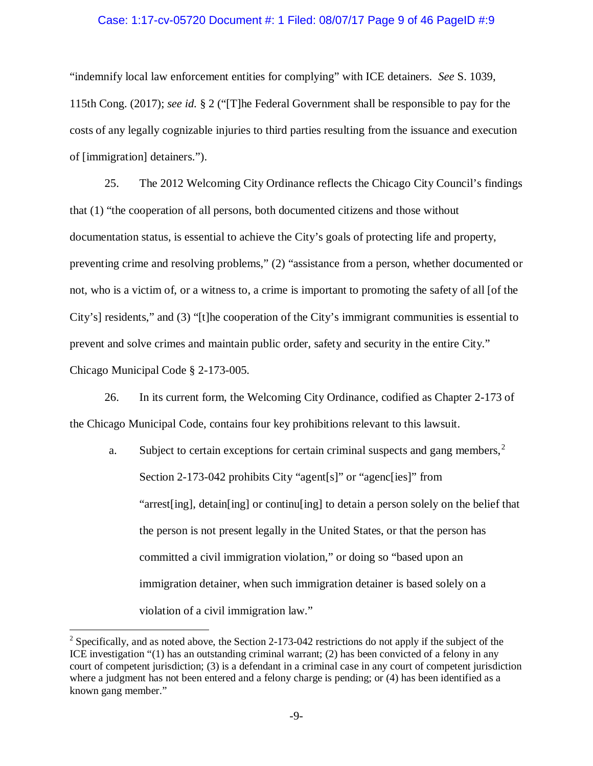### Case: 1:17-cv-05720 Document #: 1 Filed: 08/07/17 Page 9 of 46 PageID #:9

"indemnify local law enforcement entities for complying" with ICE detainers. *See* S. 1039, 115th Cong. (2017); *see id.* § 2 ("[T]he Federal Government shall be responsible to pay for the costs of any legally cognizable injuries to third parties resulting from the issuance and execution of [immigration] detainers.").

25. The 2012 Welcoming City Ordinance reflects the Chicago City Council's findings that (1) "the cooperation of all persons, both documented citizens and those without documentation status, is essential to achieve the City's goals of protecting life and property, preventing crime and resolving problems," (2) "assistance from a person, whether documented or not, who is a victim of, or a witness to, a crime is important to promoting the safety of all [of the City's] residents," and (3) "[t]he cooperation of the City's immigrant communities is essential to prevent and solve crimes and maintain public order, safety and security in the entire City." Chicago Municipal Code § 2-173-005.

26. In its current form, the Welcoming City Ordinance, codified as Chapter 2-173 of the Chicago Municipal Code, contains four key prohibitions relevant to this lawsuit.

a. Subject to certain exceptions for certain criminal suspects and gang members,<sup>[2](#page-8-0)</sup> Section 2-173-042 prohibits City "agent[s]" or "agenc[ies]" from "arrest[ing], detain[ing] or continu[ing] to detain a person solely on the belief that the person is not present legally in the United States, or that the person has committed a civil immigration violation," or doing so "based upon an immigration detainer, when such immigration detainer is based solely on a violation of a civil immigration law."

<span id="page-8-0"></span> $2$  Specifically, and as noted above, the Section 2-173-042 restrictions do not apply if the subject of the ICE investigation "(1) has an outstanding criminal warrant; (2) has been convicted of a felony in any court of competent jurisdiction; (3) is a defendant in a criminal case in any court of competent jurisdiction where a judgment has not been entered and a felony charge is pending; or (4) has been identified as a known gang member."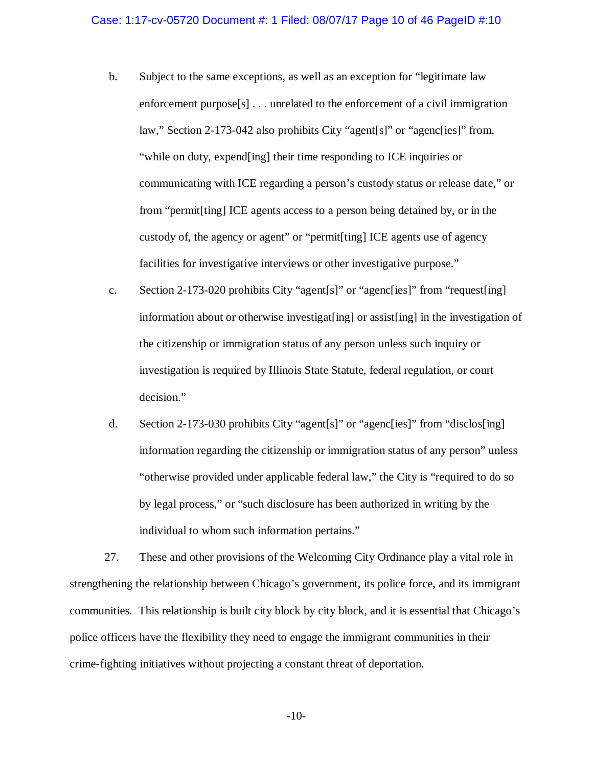- b. Subject to the same exceptions, as well as an exception for "legitimate law enforcement purpose[s] . . . unrelated to the enforcement of a civil immigration law," Section 2-173-042 also prohibits City "agent[s]" or "agenc[ies]" from, "while on duty, expend[ing] their time responding to ICE inquiries or communicating with ICE regarding a person's custody status or release date," or from "permit[ting] ICE agents access to a person being detained by, or in the custody of, the agency or agent" or "permit[ting] ICE agents use of agency facilities for investigative interviews or other investigative purpose."
- c. Section 2-173-020 prohibits City "agent[s]" or "agenc[ies]" from "request[ing] information about or otherwise investigat[ing] or assist[ing] in the investigation of the citizenship or immigration status of any person unless such inquiry or investigation is required by Illinois State Statute, federal regulation, or court decision."
- d. Section 2-173-030 prohibits City "agent[s]" or "agenc[ies]" from "disclos[ing] information regarding the citizenship or immigration status of any person" unless "otherwise provided under applicable federal law," the City is "required to do so by legal process," or "such disclosure has been authorized in writing by the individual to whom such information pertains."

27. These and other provisions of the Welcoming City Ordinance play a vital role in strengthening the relationship between Chicago's government, its police force, and its immigrant communities. This relationship is built city block by city block, and it is essential that Chicago's police officers have the flexibility they need to engage the immigrant communities in their crime-fighting initiatives without projecting a constant threat of deportation.

-10-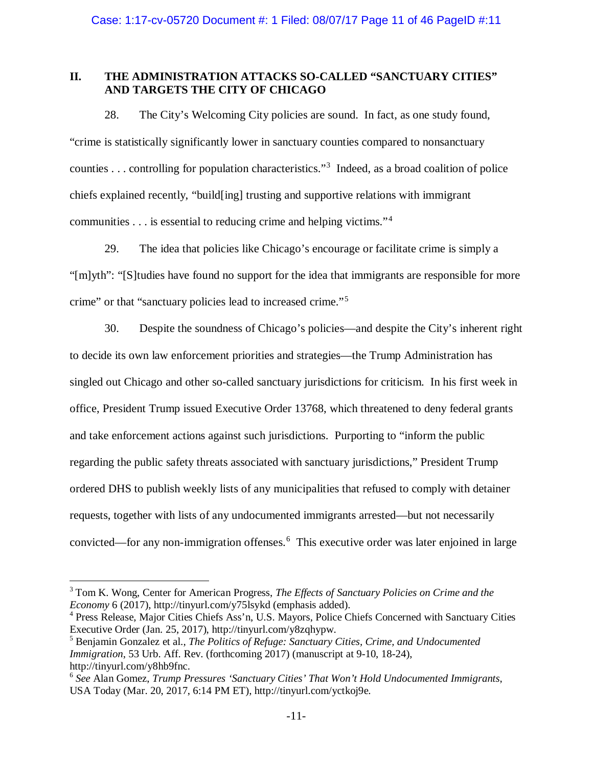# **II. THE ADMINISTRATION ATTACKS SO-CALLED "SANCTUARY CITIES" AND TARGETS THE CITY OF CHICAGO**

28. The City's Welcoming City policies are sound. In fact, as one study found, "crime is statistically significantly lower in sanctuary counties compared to nonsanctuary counties . . . controlling for population characteristics."[3](#page-10-0) Indeed, as a broad coalition of police chiefs explained recently, "build[ing] trusting and supportive relations with immigrant communities . . . is essential to reducing crime and helping victims."[4](#page-10-1)

29. The idea that policies like Chicago's encourage or facilitate crime is simply a "[m]yth": "[S]tudies have found no support for the idea that immigrants are responsible for more crime" or that "sanctuary policies lead to increased crime."<sup>[5](#page-10-2)</sup>

30. Despite the soundness of Chicago's policies—and despite the City's inherent right to decide its own law enforcement priorities and strategies—the Trump Administration has singled out Chicago and other so-called sanctuary jurisdictions for criticism. In his first week in office, President Trump issued Executive Order 13768, which threatened to deny federal grants and take enforcement actions against such jurisdictions. Purporting to "inform the public regarding the public safety threats associated with sanctuary jurisdictions," President Trump ordered DHS to publish weekly lists of any municipalities that refused to comply with detainer requests, together with lists of any undocumented immigrants arrested—but not necessarily convicted—for any non-immigration offenses.<sup>[6](#page-10-3)</sup> This executive order was later enjoined in large

<span id="page-10-0"></span> <sup>3</sup> Tom K. Wong, Center for American Progress, *The Effects of Sanctuary Policies on Crime and the Economy* 6 (2017), http://tinyurl.com/y75lsykd (emphasis added).

<span id="page-10-1"></span><sup>4</sup> Press Release, Major Cities Chiefs Ass'n, U.S. Mayors, Police Chiefs Concerned with Sanctuary Cities Executive Order (Jan. 25, 2017), http://tinyurl.com/y8zqhypw.

<span id="page-10-2"></span><sup>5</sup> Benjamin Gonzalez et al., *The Politics of Refuge: Sanctuary Cities, Crime, and Undocumented Immigration*, 53 Urb. Aff. Rev. (forthcoming 2017) (manuscript at 9-10, 18-24), http://tinyurl.com/y8hb9fnc.

<span id="page-10-3"></span><sup>6</sup> *See* Alan Gomez, *Trump Pressures 'Sanctuary Cities' That Won't Hold Undocumented Immigrants*, USA Today (Mar. 20, 2017, 6:14 PM ET), http://tinyurl.com/yctkoj9e.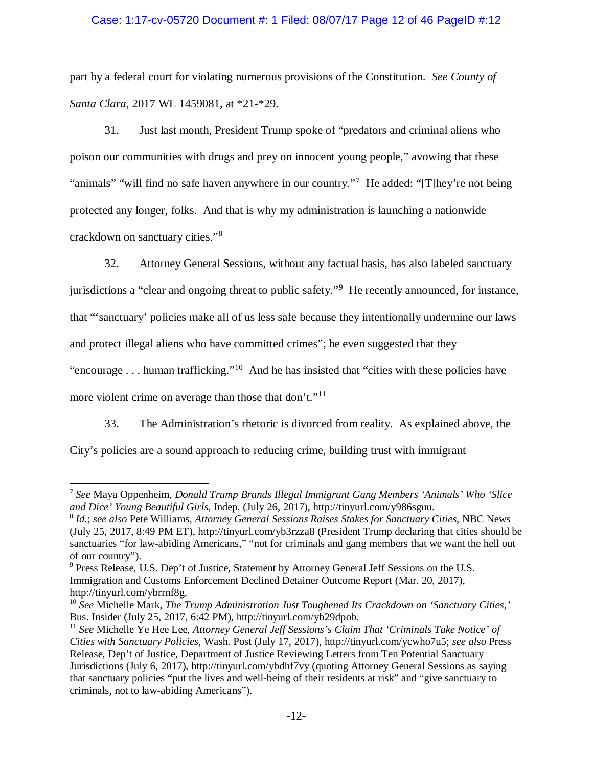# Case: 1:17-cv-05720 Document #: 1 Filed: 08/07/17 Page 12 of 46 PageID #:12

part by a federal court for violating numerous provisions of the Constitution. *See County of Santa Clara*, 2017 WL 1459081, at \*21-\*29.

31. Just last month, President Trump spoke of "predators and criminal aliens who poison our communities with drugs and prey on innocent young people," avowing that these "animals" "will find no safe haven anywhere in our country."<sup>[7](#page-11-0)</sup> He added: "[T]hey're not being protected any longer, folks. And that is why my administration is launching a nationwide crackdown on sanctuary cities."[8](#page-11-1)

32. Attorney General Sessions, without any factual basis, has also labeled sanctuary jurisdictions a "clear and ongoing threat to public safety."<sup>[9](#page-11-2)</sup> He recently announced, for instance, that "'sanctuary' policies make all of us less safe because they intentionally undermine our laws and protect illegal aliens who have committed crimes"; he even suggested that they "encourage  $\dots$  human trafficking."<sup>10</sup> And he has insisted that "cities with these policies have more violent crime on average than those that don't."<sup>11</sup>

33. The Administration's rhetoric is divorced from reality. As explained above, the

City's policies are a sound approach to reducing crime, building trust with immigrant

<span id="page-11-0"></span> <sup>7</sup> *See* Maya Oppenheim, *Donald Trump Brands Illegal Immigrant Gang Members 'Animals' Who 'Slice and Dice' Young Beautiful Girls*, Indep. (July 26, 2017), http://tinyurl.com/y986sguu.

<span id="page-11-1"></span><sup>8</sup> *Id.*; *see also* Pete Williams, *Attorney General Sessions Raises Stakes for Sanctuary Cities*, NBC News (July 25, 2017, 8:49 PM ET), http://tinyurl.com/yb3rzza8 (President Trump declaring that cities should be sanctuaries "for law-abiding Americans," "not for criminals and gang members that we want the hell out of our country").

<span id="page-11-2"></span><sup>9</sup> Press Release, U.S. Dep't of Justice, Statement by Attorney General Jeff Sessions on the U.S. Immigration and Customs Enforcement Declined Detainer Outcome Report (Mar. 20, 2017), http://tinyurl.com/ybrrnf8g.

<span id="page-11-3"></span><sup>10</sup> *See* Michelle Mark, *The Trump Administration Just Toughened Its Crackdown on 'Sanctuary Cities*,*'* Bus. Insider (July 25, 2017, 6:42 PM), http://tinyurl.com/yb29dpob.

<span id="page-11-4"></span><sup>&</sup>lt;sup>11</sup> See Michelle Ye Hee Lee, *Attorney General Jeff Sessions's Claim That 'Criminals Take Notice' of Cities with Sanctuary Policies*, Wash. Post (July 17, 2017), http://tinyurl.com/ycwho7u5; *see also* Press Release, Dep't of Justice, Department of Justice Reviewing Letters from Ten Potential Sanctuary Jurisdictions (July 6, 2017), http://tinyurl.com/ybdhf7vy (quoting Attorney General Sessions as saying that sanctuary policies "put the lives and well-being of their residents at risk" and "give sanctuary to criminals, not to law-abiding Americans").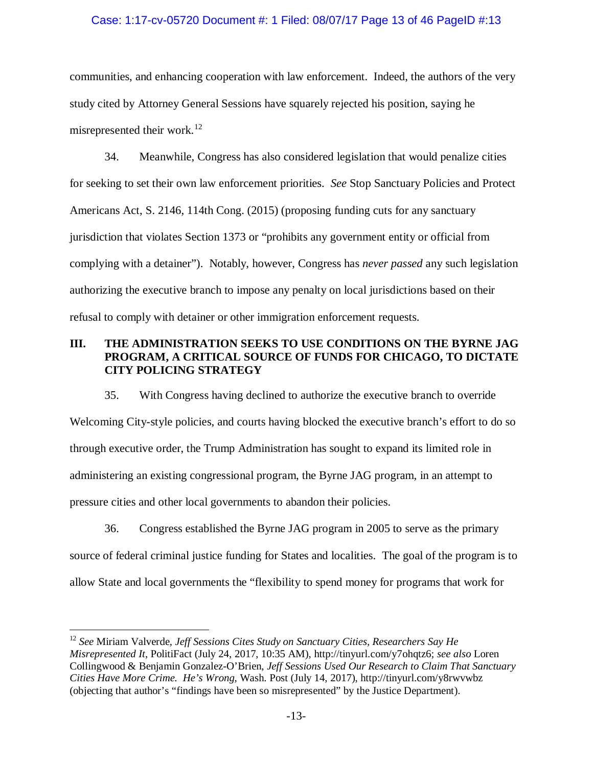# Case: 1:17-cv-05720 Document #: 1 Filed: 08/07/17 Page 13 of 46 PageID #:13

communities, and enhancing cooperation with law enforcement. Indeed, the authors of the very study cited by Attorney General Sessions have squarely rejected his position, saying he misrepresented their work. [12](#page-12-0)

34. Meanwhile, Congress has also considered legislation that would penalize cities for seeking to set their own law enforcement priorities. *See* Stop Sanctuary Policies and Protect Americans Act, S. 2146, 114th Cong. (2015) (proposing funding cuts for any sanctuary jurisdiction that violates Section 1373 or "prohibits any government entity or official from complying with a detainer"). Notably, however, Congress has *never passed* any such legislation authorizing the executive branch to impose any penalty on local jurisdictions based on their refusal to comply with detainer or other immigration enforcement requests.

# **III. THE ADMINISTRATION SEEKS TO USE CONDITIONS ON THE BYRNE JAG PROGRAM, A CRITICAL SOURCE OF FUNDS FOR CHICAGO, TO DICTATE CITY POLICING STRATEGY**

35. With Congress having declined to authorize the executive branch to override Welcoming City-style policies, and courts having blocked the executive branch's effort to do so through executive order, the Trump Administration has sought to expand its limited role in administering an existing congressional program, the Byrne JAG program, in an attempt to pressure cities and other local governments to abandon their policies.

36. Congress established the Byrne JAG program in 2005 to serve as the primary source of federal criminal justice funding for States and localities. The goal of the program is to allow State and local governments the "flexibility to spend money for programs that work for

<span id="page-12-0"></span> <sup>12</sup> *See* Miriam Valverde, *Jeff Sessions Cites Study on Sanctuary Cities, Researchers Say He Misrepresented It*, PolitiFact (July 24, 2017, 10:35 AM), http://tinyurl.com/y7ohqtz6; *see also* Loren Collingwood & Benjamin Gonzalez-O'Brien, *Jeff Sessions Used Our Research to Claim That Sanctuary Cities Have More Crime. He's Wrong*, Wash. Post (July 14, 2017), http://tinyurl.com/y8rwvwbz (objecting that author's "findings have been so misrepresented" by the Justice Department).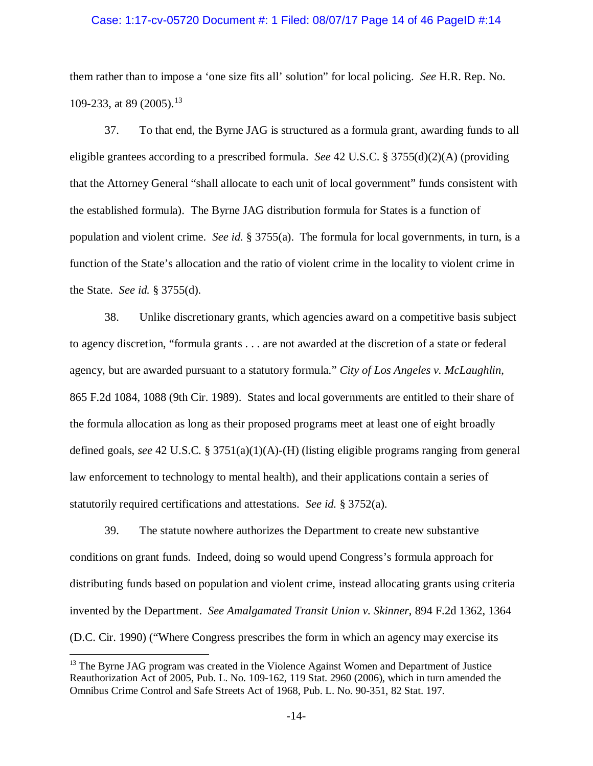### Case: 1:17-cv-05720 Document #: 1 Filed: 08/07/17 Page 14 of 46 PageID #:14

them rather than to impose a 'one size fits all' solution" for local policing. *See* H.R. Rep. No. 109-233, at 89 (2005). [13](#page-13-0)

37. To that end, the Byrne JAG is structured as a formula grant, awarding funds to all eligible grantees according to a prescribed formula. *See* 42 U.S.C. § 3755(d)(2)(A) (providing that the Attorney General "shall allocate to each unit of local government" funds consistent with the established formula). The Byrne JAG distribution formula for States is a function of population and violent crime. *See id.* § 3755(a). The formula for local governments, in turn, is a function of the State's allocation and the ratio of violent crime in the locality to violent crime in the State. *See id.* § 3755(d).

38. Unlike discretionary grants, which agencies award on a competitive basis subject to agency discretion, "formula grants . . . are not awarded at the discretion of a state or federal agency, but are awarded pursuant to a statutory formula." *City of Los Angeles v. McLaughlin*, 865 F.2d 1084, 1088 (9th Cir. 1989). States and local governments are entitled to their share of the formula allocation as long as their proposed programs meet at least one of eight broadly defined goals, *see* 42 U.S.C. § 3751(a)(1)(A)-(H) (listing eligible programs ranging from general law enforcement to technology to mental health), and their applications contain a series of statutorily required certifications and attestations. *See id.* § 3752(a).

39. The statute nowhere authorizes the Department to create new substantive conditions on grant funds. Indeed, doing so would upend Congress's formula approach for distributing funds based on population and violent crime, instead allocating grants using criteria invented by the Department. *See Amalgamated Transit Union v. Skinner*, 894 F.2d 1362, 1364 (D.C. Cir. 1990) ("Where Congress prescribes the form in which an agency may exercise its

<span id="page-13-0"></span><sup>&</sup>lt;sup>13</sup> The Byrne JAG program was created in the Violence Against Women and Department of Justice Reauthorization Act of 2005, Pub. L. No. 109-162, 119 Stat. 2960 (2006), which in turn amended the Omnibus Crime Control and Safe Streets Act of 1968, Pub. L. No. 90-351, 82 Stat. 197.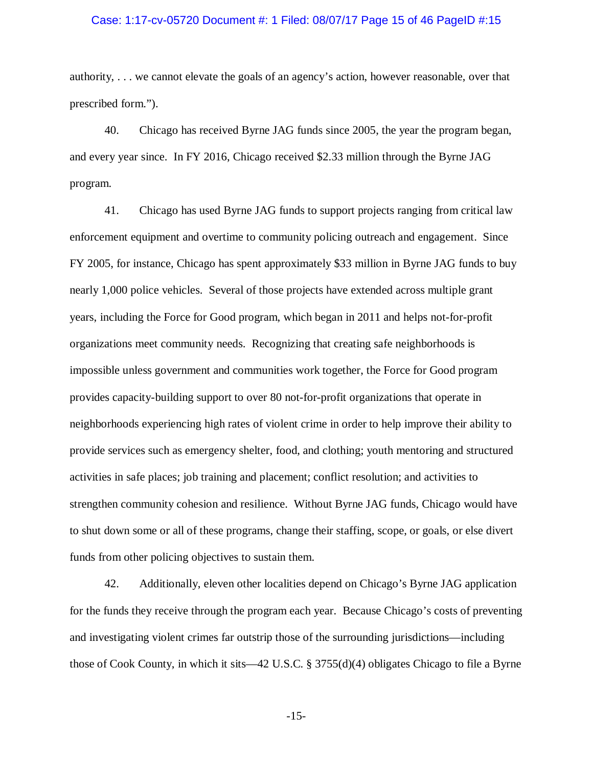### Case: 1:17-cv-05720 Document #: 1 Filed: 08/07/17 Page 15 of 46 PageID #:15

authority, . . . we cannot elevate the goals of an agency's action, however reasonable, over that prescribed form.").

40. Chicago has received Byrne JAG funds since 2005, the year the program began, and every year since. In FY 2016, Chicago received \$2.33 million through the Byrne JAG program.

41. Chicago has used Byrne JAG funds to support projects ranging from critical law enforcement equipment and overtime to community policing outreach and engagement. Since FY 2005, for instance, Chicago has spent approximately \$33 million in Byrne JAG funds to buy nearly 1,000 police vehicles. Several of those projects have extended across multiple grant years, including the Force for Good program, which began in 2011 and helps not-for-profit organizations meet community needs. Recognizing that creating safe neighborhoods is impossible unless government and communities work together, the Force for Good program provides capacity-building support to over 80 not-for-profit organizations that operate in neighborhoods experiencing high rates of violent crime in order to help improve their ability to provide services such as emergency shelter, food, and clothing; youth mentoring and structured activities in safe places; job training and placement; conflict resolution; and activities to strengthen community cohesion and resilience. Without Byrne JAG funds, Chicago would have to shut down some or all of these programs, change their staffing, scope, or goals, or else divert funds from other policing objectives to sustain them.

42. Additionally, eleven other localities depend on Chicago's Byrne JAG application for the funds they receive through the program each year. Because Chicago's costs of preventing and investigating violent crimes far outstrip those of the surrounding jurisdictions—including those of Cook County, in which it sits—42 U.S.C. § 3755(d)(4) obligates Chicago to file a Byrne

-15-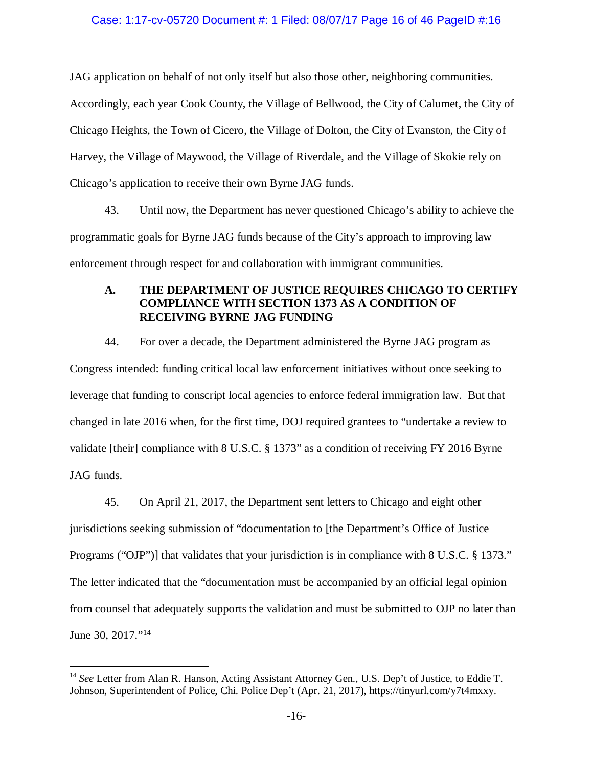## Case: 1:17-cv-05720 Document #: 1 Filed: 08/07/17 Page 16 of 46 PageID #:16

JAG application on behalf of not only itself but also those other, neighboring communities. Accordingly, each year Cook County, the Village of Bellwood, the City of Calumet, the City of Chicago Heights, the Town of Cicero, the Village of Dolton, the City of Evanston, the City of Harvey, the Village of Maywood, the Village of Riverdale, and the Village of Skokie rely on Chicago's application to receive their own Byrne JAG funds.

43. Until now, the Department has never questioned Chicago's ability to achieve the programmatic goals for Byrne JAG funds because of the City's approach to improving law enforcement through respect for and collaboration with immigrant communities.

# **A. THE DEPARTMENT OF JUSTICE REQUIRES CHICAGO TO CERTIFY COMPLIANCE WITH SECTION 1373 AS A CONDITION OF RECEIVING BYRNE JAG FUNDING**

44. For over a decade, the Department administered the Byrne JAG program as Congress intended: funding critical local law enforcement initiatives without once seeking to leverage that funding to conscript local agencies to enforce federal immigration law. But that changed in late 2016 when, for the first time, DOJ required grantees to "undertake a review to validate [their] compliance with 8 U.S.C. § 1373" as a condition of receiving FY 2016 Byrne JAG funds.

45. On April 21, 2017, the Department sent letters to Chicago and eight other jurisdictions seeking submission of "documentation to [the Department's Office of Justice Programs ("OJP")] that validates that your jurisdiction is in compliance with 8 U.S.C. § 1373." The letter indicated that the "documentation must be accompanied by an official legal opinion from counsel that adequately supports the validation and must be submitted to OJP no later than June 30, 2017."<sup>[14](#page-15-0)</sup>

<span id="page-15-0"></span> <sup>14</sup> *See* Letter from Alan R. Hanson, Acting Assistant Attorney Gen., U.S. Dep't of Justice, to Eddie T. Johnson, Superintendent of Police, Chi. Police Dep't (Apr. 21, 2017), https://tinyurl.com/y7t4mxxy.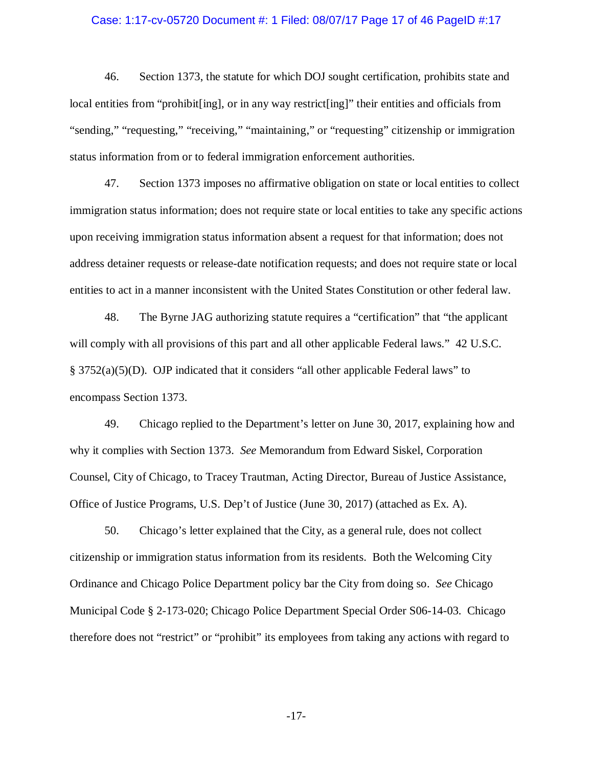### Case: 1:17-cv-05720 Document #: 1 Filed: 08/07/17 Page 17 of 46 PageID #:17

46. Section 1373, the statute for which DOJ sought certification, prohibits state and local entities from "prohibit[ing], or in any way restrict[ing]" their entities and officials from "sending," "requesting," "receiving," "maintaining," or "requesting" citizenship or immigration status information from or to federal immigration enforcement authorities.

47. Section 1373 imposes no affirmative obligation on state or local entities to collect immigration status information; does not require state or local entities to take any specific actions upon receiving immigration status information absent a request for that information; does not address detainer requests or release-date notification requests; and does not require state or local entities to act in a manner inconsistent with the United States Constitution or other federal law.

48. The Byrne JAG authorizing statute requires a "certification" that "the applicant will comply with all provisions of this part and all other applicable Federal laws." 42 U.S.C. § 3752(a)(5)(D). OJP indicated that it considers "all other applicable Federal laws" to encompass Section 1373.

49. Chicago replied to the Department's letter on June 30, 2017, explaining how and why it complies with Section 1373. *See* Memorandum from Edward Siskel, Corporation Counsel, City of Chicago, to Tracey Trautman, Acting Director, Bureau of Justice Assistance, Office of Justice Programs, U.S. Dep't of Justice (June 30, 2017) (attached as Ex. A).

50. Chicago's letter explained that the City, as a general rule, does not collect citizenship or immigration status information from its residents. Both the Welcoming City Ordinance and Chicago Police Department policy bar the City from doing so. *See* Chicago Municipal Code § 2-173-020; Chicago Police Department Special Order S06-14-03. Chicago therefore does not "restrict" or "prohibit" its employees from taking any actions with regard to

-17-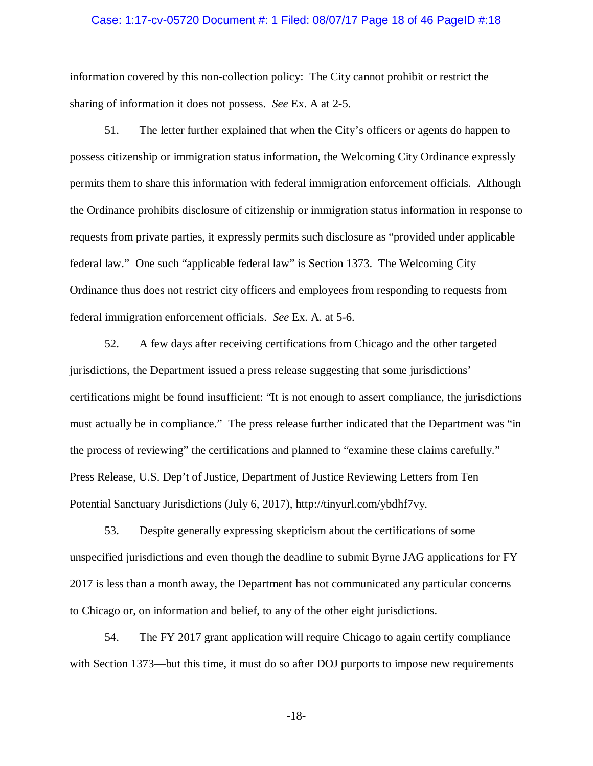### Case: 1:17-cv-05720 Document #: 1 Filed: 08/07/17 Page 18 of 46 PageID #:18

information covered by this non-collection policy: The City cannot prohibit or restrict the sharing of information it does not possess. *See* Ex. A at 2-5.

51. The letter further explained that when the City's officers or agents do happen to possess citizenship or immigration status information, the Welcoming City Ordinance expressly permits them to share this information with federal immigration enforcement officials. Although the Ordinance prohibits disclosure of citizenship or immigration status information in response to requests from private parties, it expressly permits such disclosure as "provided under applicable federal law." One such "applicable federal law" is Section 1373. The Welcoming City Ordinance thus does not restrict city officers and employees from responding to requests from federal immigration enforcement officials. *See* Ex. A. at 5-6.

52. A few days after receiving certifications from Chicago and the other targeted jurisdictions, the Department issued a press release suggesting that some jurisdictions' certifications might be found insufficient: "It is not enough to assert compliance, the jurisdictions must actually be in compliance." The press release further indicated that the Department was "in the process of reviewing" the certifications and planned to "examine these claims carefully." Press Release, U.S. Dep't of Justice, Department of Justice Reviewing Letters from Ten Potential Sanctuary Jurisdictions (July 6, 2017), http://tinyurl.com/ybdhf7vy.

53. Despite generally expressing skepticism about the certifications of some unspecified jurisdictions and even though the deadline to submit Byrne JAG applications for FY 2017 is less than a month away, the Department has not communicated any particular concerns to Chicago or, on information and belief, to any of the other eight jurisdictions.

54. The FY 2017 grant application will require Chicago to again certify compliance with Section 1373—but this time, it must do so after DOJ purports to impose new requirements

-18-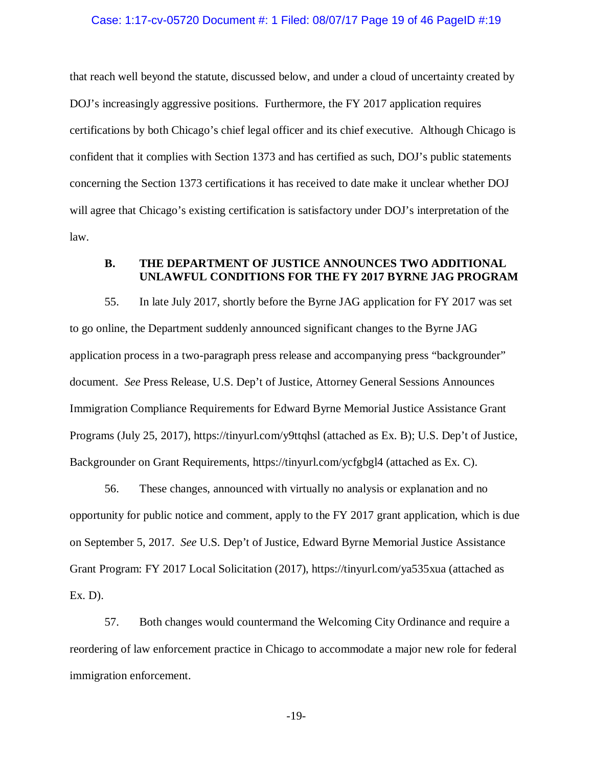### Case: 1:17-cv-05720 Document #: 1 Filed: 08/07/17 Page 19 of 46 PageID #:19

that reach well beyond the statute, discussed below, and under a cloud of uncertainty created by DOJ's increasingly aggressive positions. Furthermore, the FY 2017 application requires certifications by both Chicago's chief legal officer and its chief executive. Although Chicago is confident that it complies with Section 1373 and has certified as such, DOJ's public statements concerning the Section 1373 certifications it has received to date make it unclear whether DOJ will agree that Chicago's existing certification is satisfactory under DOJ's interpretation of the law.

# **B. THE DEPARTMENT OF JUSTICE ANNOUNCES TWO ADDITIONAL UNLAWFUL CONDITIONS FOR THE FY 2017 BYRNE JAG PROGRAM**

55. In late July 2017, shortly before the Byrne JAG application for FY 2017 was set to go online, the Department suddenly announced significant changes to the Byrne JAG application process in a two-paragraph press release and accompanying press "backgrounder" document. *See* Press Release, U.S. Dep't of Justice, Attorney General Sessions Announces Immigration Compliance Requirements for Edward Byrne Memorial Justice Assistance Grant Programs (July 25, 2017), https://tinyurl.com/y9ttqhsl (attached as Ex. B); U.S. Dep't of Justice, Backgrounder on Grant Requirements, https://tinyurl.com/ycfgbgl4 (attached as Ex. C).

56. These changes, announced with virtually no analysis or explanation and no opportunity for public notice and comment, apply to the FY 2017 grant application, which is due on September 5, 2017. *See* U.S. Dep't of Justice, Edward Byrne Memorial Justice Assistance Grant Program: FY 2017 Local Solicitation (2017), https://tinyurl.com/ya535xua (attached as Ex. D).

57. Both changes would countermand the Welcoming City Ordinance and require a reordering of law enforcement practice in Chicago to accommodate a major new role for federal immigration enforcement.

-19-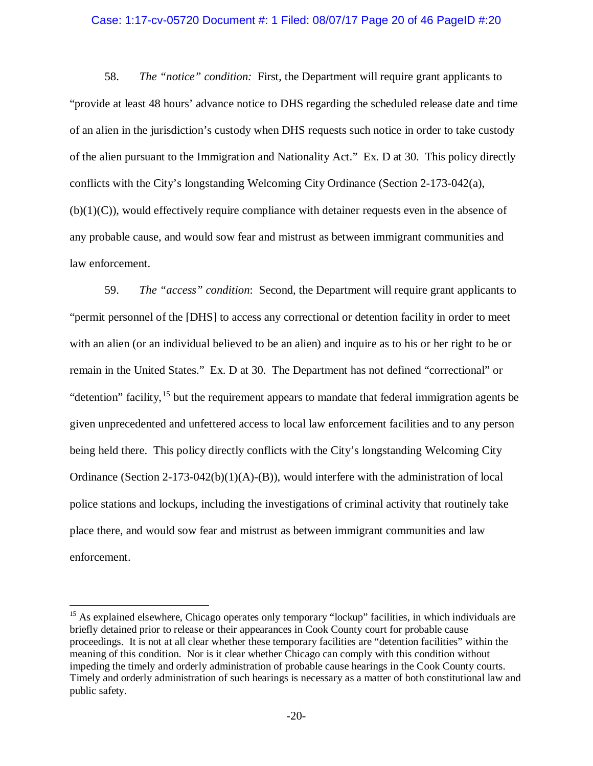### Case: 1:17-cv-05720 Document #: 1 Filed: 08/07/17 Page 20 of 46 PageID #:20

58. *The "notice" condition:* First, the Department will require grant applicants to "provide at least 48 hours' advance notice to DHS regarding the scheduled release date and time of an alien in the jurisdiction's custody when DHS requests such notice in order to take custody of the alien pursuant to the Immigration and Nationality Act." Ex. D at 30. This policy directly conflicts with the City's longstanding Welcoming City Ordinance (Section 2-173-042(a),  $(b)(1)(C)$ , would effectively require compliance with detainer requests even in the absence of any probable cause, and would sow fear and mistrust as between immigrant communities and law enforcement.

59. *The "access" condition*: Second, the Department will require grant applicants to "permit personnel of the [DHS] to access any correctional or detention facility in order to meet with an alien (or an individual believed to be an alien) and inquire as to his or her right to be or remain in the United States." Ex. D at 30. The Department has not defined "correctional" or "detention" facility,<sup>[15](#page-19-0)</sup> but the requirement appears to mandate that federal immigration agents be given unprecedented and unfettered access to local law enforcement facilities and to any person being held there. This policy directly conflicts with the City's longstanding Welcoming City Ordinance (Section 2-173-042(b)(1)(A)-(B)), would interfere with the administration of local police stations and lockups, including the investigations of criminal activity that routinely take place there, and would sow fear and mistrust as between immigrant communities and law enforcement.

<span id="page-19-0"></span><sup>&</sup>lt;sup>15</sup> As explained elsewhere, Chicago operates only temporary "lockup" facilities, in which individuals are briefly detained prior to release or their appearances in Cook County court for probable cause proceedings. It is not at all clear whether these temporary facilities are "detention facilities" within the meaning of this condition. Nor is it clear whether Chicago can comply with this condition without impeding the timely and orderly administration of probable cause hearings in the Cook County courts. Timely and orderly administration of such hearings is necessary as a matter of both constitutional law and public safety.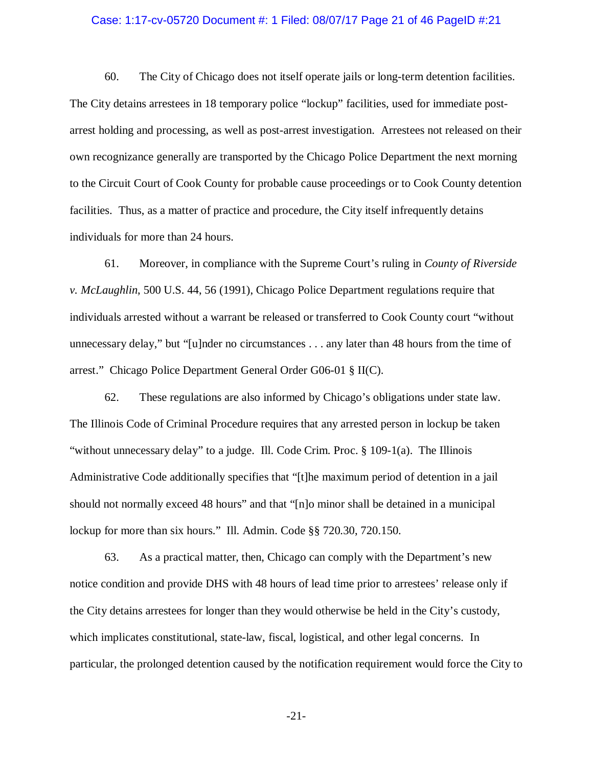#### Case: 1:17-cv-05720 Document #: 1 Filed: 08/07/17 Page 21 of 46 PageID #:21

60. The City of Chicago does not itself operate jails or long-term detention facilities. The City detains arrestees in 18 temporary police "lockup" facilities, used for immediate postarrest holding and processing, as well as post-arrest investigation. Arrestees not released on their own recognizance generally are transported by the Chicago Police Department the next morning to the Circuit Court of Cook County for probable cause proceedings or to Cook County detention facilities. Thus, as a matter of practice and procedure, the City itself infrequently detains individuals for more than 24 hours.

61. Moreover, in compliance with the Supreme Court's ruling in *County of Riverside v. McLaughlin*, 500 U.S. 44, 56 (1991), Chicago Police Department regulations require that individuals arrested without a warrant be released or transferred to Cook County court "without unnecessary delay," but "[u]nder no circumstances . . . any later than 48 hours from the time of arrest." Chicago Police Department General Order G06-01 § II(C).

62. These regulations are also informed by Chicago's obligations under state law. The Illinois Code of Criminal Procedure requires that any arrested person in lockup be taken "without unnecessary delay" to a judge. Ill. Code Crim. Proc. § 109-1(a). The Illinois Administrative Code additionally specifies that "[t]he maximum period of detention in a jail should not normally exceed 48 hours" and that "[n]o minor shall be detained in a municipal lockup for more than six hours." Ill. Admin. Code §§ 720.30, 720.150.

63. As a practical matter, then, Chicago can comply with the Department's new notice condition and provide DHS with 48 hours of lead time prior to arrestees' release only if the City detains arrestees for longer than they would otherwise be held in the City's custody, which implicates constitutional, state-law, fiscal, logistical, and other legal concerns. In particular, the prolonged detention caused by the notification requirement would force the City to

-21-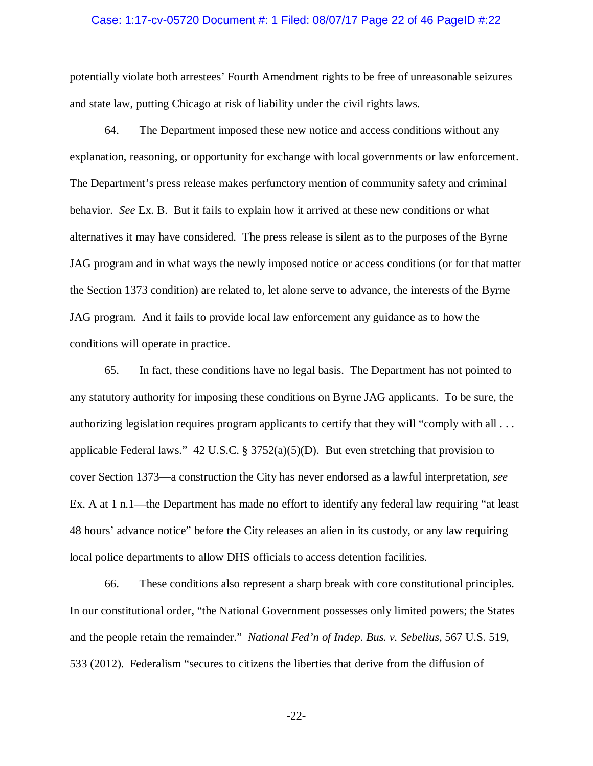### Case: 1:17-cv-05720 Document #: 1 Filed: 08/07/17 Page 22 of 46 PageID #:22

potentially violate both arrestees' Fourth Amendment rights to be free of unreasonable seizures and state law, putting Chicago at risk of liability under the civil rights laws.

64. The Department imposed these new notice and access conditions without any explanation, reasoning, or opportunity for exchange with local governments or law enforcement. The Department's press release makes perfunctory mention of community safety and criminal behavior. *See* Ex. B. But it fails to explain how it arrived at these new conditions or what alternatives it may have considered. The press release is silent as to the purposes of the Byrne JAG program and in what ways the newly imposed notice or access conditions (or for that matter the Section 1373 condition) are related to, let alone serve to advance, the interests of the Byrne JAG program. And it fails to provide local law enforcement any guidance as to how the conditions will operate in practice.

65. In fact, these conditions have no legal basis. The Department has not pointed to any statutory authority for imposing these conditions on Byrne JAG applicants. To be sure, the authorizing legislation requires program applicants to certify that they will "comply with all . . . applicable Federal laws." 42 U.S.C. § 3752(a)(5)(D). But even stretching that provision to cover Section 1373—a construction the City has never endorsed as a lawful interpretation, *see*  Ex. A at 1 n.1—the Department has made no effort to identify any federal law requiring "at least 48 hours' advance notice" before the City releases an alien in its custody, or any law requiring local police departments to allow DHS officials to access detention facilities.

66. These conditions also represent a sharp break with core constitutional principles. In our constitutional order, "the National Government possesses only limited powers; the States and the people retain the remainder." *National Fed'n of Indep. Bus. v. Sebelius*, 567 U.S. 519, 533 (2012). Federalism "secures to citizens the liberties that derive from the diffusion of

-22-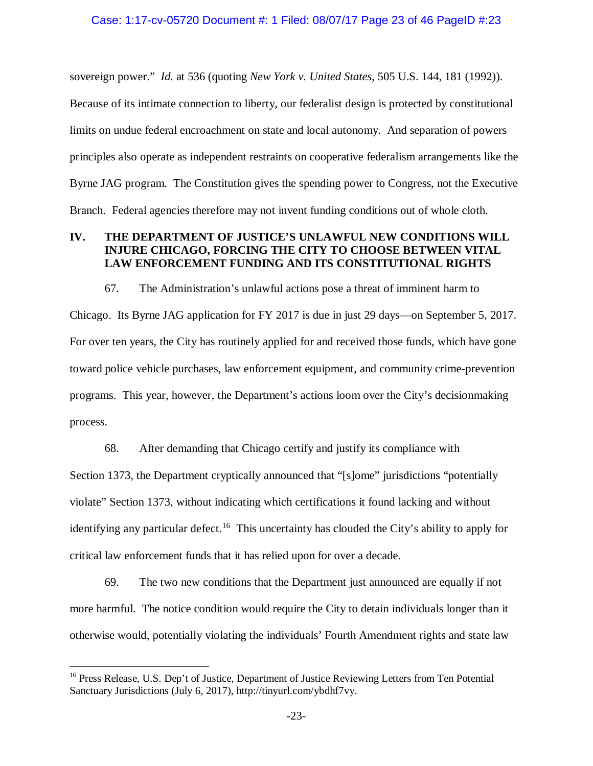sovereign power." *Id.* at 536 (quoting *New York v. United States*, 505 U.S. 144, 181 (1992)).

Because of its intimate connection to liberty, our federalist design is protected by constitutional limits on undue federal encroachment on state and local autonomy. And separation of powers principles also operate as independent restraints on cooperative federalism arrangements like the Byrne JAG program. The Constitution gives the spending power to Congress, not the Executive Branch. Federal agencies therefore may not invent funding conditions out of whole cloth.

# **IV. THE DEPARTMENT OF JUSTICE'S UNLAWFUL NEW CONDITIONS WILL INJURE CHICAGO, FORCING THE CITY TO CHOOSE BETWEEN VITAL LAW ENFORCEMENT FUNDING AND ITS CONSTITUTIONAL RIGHTS**

67. The Administration's unlawful actions pose a threat of imminent harm to Chicago. Its Byrne JAG application for FY 2017 is due in just 29 days—on September 5, 2017.

For over ten years, the City has routinely applied for and received those funds, which have gone toward police vehicle purchases, law enforcement equipment, and community crime-prevention programs. This year, however, the Department's actions loom over the City's decisionmaking process.

68. After demanding that Chicago certify and justify its compliance with Section 1373, the Department cryptically announced that "[s]ome" jurisdictions "potentially violate" Section 1373, without indicating which certifications it found lacking and without identifying any particular defect.<sup>16</sup> This uncertainty has clouded the City's ability to apply for critical law enforcement funds that it has relied upon for over a decade.

69. The two new conditions that the Department just announced are equally if not more harmful. The notice condition would require the City to detain individuals longer than it otherwise would, potentially violating the individuals' Fourth Amendment rights and state law

<span id="page-22-0"></span><sup>&</sup>lt;sup>16</sup> Press Release, U.S. Dep't of Justice, Department of Justice Reviewing Letters from Ten Potential Sanctuary Jurisdictions (July 6, 2017), http://tinyurl.com/ybdhf7vy.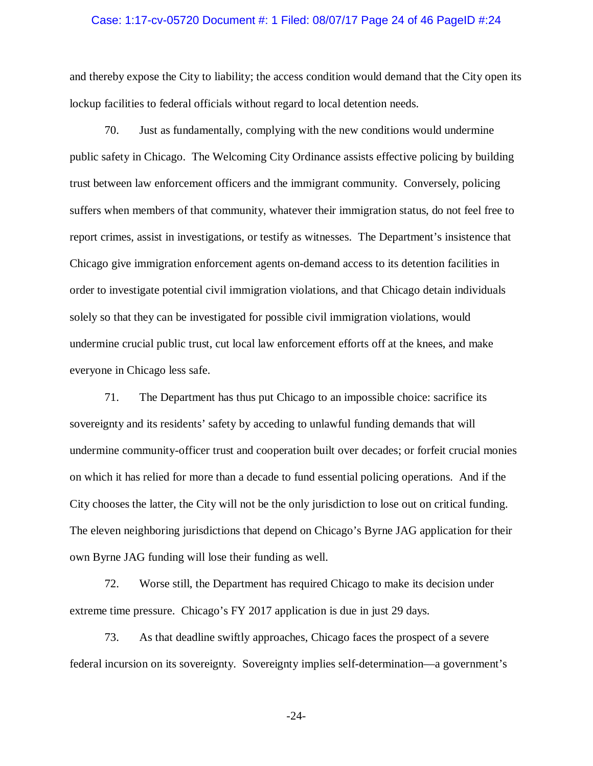### Case: 1:17-cv-05720 Document #: 1 Filed: 08/07/17 Page 24 of 46 PageID #:24

and thereby expose the City to liability; the access condition would demand that the City open its lockup facilities to federal officials without regard to local detention needs.

70. Just as fundamentally, complying with the new conditions would undermine public safety in Chicago. The Welcoming City Ordinance assists effective policing by building trust between law enforcement officers and the immigrant community. Conversely, policing suffers when members of that community, whatever their immigration status, do not feel free to report crimes, assist in investigations, or testify as witnesses. The Department's insistence that Chicago give immigration enforcement agents on-demand access to its detention facilities in order to investigate potential civil immigration violations, and that Chicago detain individuals solely so that they can be investigated for possible civil immigration violations, would undermine crucial public trust, cut local law enforcement efforts off at the knees, and make everyone in Chicago less safe.

71. The Department has thus put Chicago to an impossible choice: sacrifice its sovereignty and its residents' safety by acceding to unlawful funding demands that will undermine community-officer trust and cooperation built over decades; or forfeit crucial monies on which it has relied for more than a decade to fund essential policing operations. And if the City chooses the latter, the City will not be the only jurisdiction to lose out on critical funding. The eleven neighboring jurisdictions that depend on Chicago's Byrne JAG application for their own Byrne JAG funding will lose their funding as well.

72. Worse still, the Department has required Chicago to make its decision under extreme time pressure. Chicago's FY 2017 application is due in just 29 days.

73. As that deadline swiftly approaches, Chicago faces the prospect of a severe federal incursion on its sovereignty. Sovereignty implies self-determination—a government's

-24-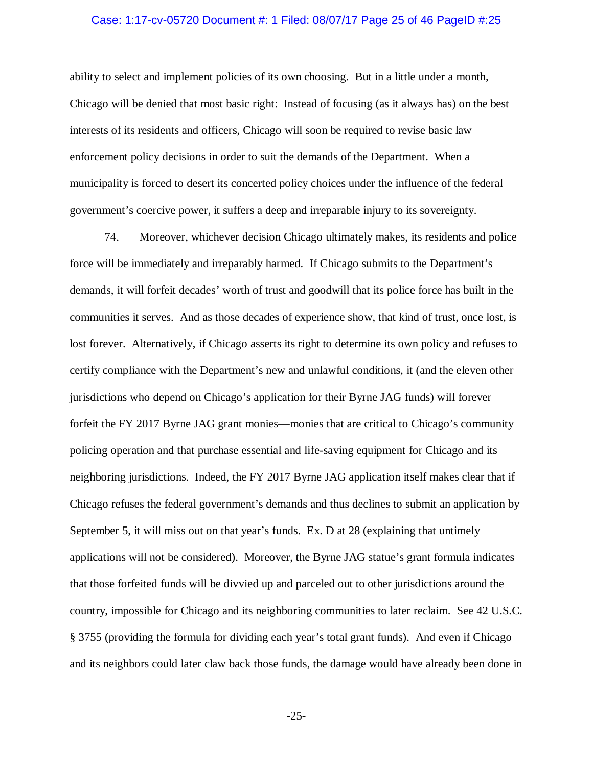# Case: 1:17-cv-05720 Document #: 1 Filed: 08/07/17 Page 25 of 46 PageID #:25

ability to select and implement policies of its own choosing. But in a little under a month, Chicago will be denied that most basic right: Instead of focusing (as it always has) on the best interests of its residents and officers, Chicago will soon be required to revise basic law enforcement policy decisions in order to suit the demands of the Department. When a municipality is forced to desert its concerted policy choices under the influence of the federal government's coercive power, it suffers a deep and irreparable injury to its sovereignty.

74. Moreover, whichever decision Chicago ultimately makes, its residents and police force will be immediately and irreparably harmed. If Chicago submits to the Department's demands, it will forfeit decades' worth of trust and goodwill that its police force has built in the communities it serves. And as those decades of experience show, that kind of trust, once lost, is lost forever. Alternatively, if Chicago asserts its right to determine its own policy and refuses to certify compliance with the Department's new and unlawful conditions, it (and the eleven other jurisdictions who depend on Chicago's application for their Byrne JAG funds) will forever forfeit the FY 2017 Byrne JAG grant monies—monies that are critical to Chicago's community policing operation and that purchase essential and life-saving equipment for Chicago and its neighboring jurisdictions. Indeed, the FY 2017 Byrne JAG application itself makes clear that if Chicago refuses the federal government's demands and thus declines to submit an application by September 5, it will miss out on that year's funds. Ex. D at 28 (explaining that untimely applications will not be considered). Moreover, the Byrne JAG statue's grant formula indicates that those forfeited funds will be divvied up and parceled out to other jurisdictions around the country, impossible for Chicago and its neighboring communities to later reclaim. See 42 U.S.C. § 3755 (providing the formula for dividing each year's total grant funds). And even if Chicago and its neighbors could later claw back those funds, the damage would have already been done in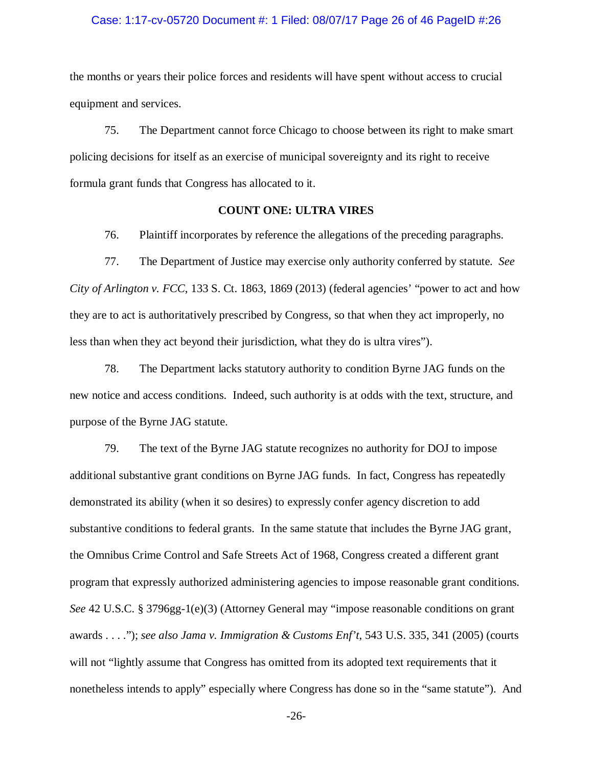### Case: 1:17-cv-05720 Document #: 1 Filed: 08/07/17 Page 26 of 46 PageID #:26

the months or years their police forces and residents will have spent without access to crucial equipment and services.

75. The Department cannot force Chicago to choose between its right to make smart policing decisions for itself as an exercise of municipal sovereignty and its right to receive formula grant funds that Congress has allocated to it.

### **COUNT ONE: ULTRA VIRES**

76. Plaintiff incorporates by reference the allegations of the preceding paragraphs.

77. The Department of Justice may exercise only authority conferred by statute. *See City of Arlington v. FCC*, 133 S. Ct. 1863, 1869 (2013) (federal agencies' "power to act and how they are to act is authoritatively prescribed by Congress, so that when they act improperly, no less than when they act beyond their jurisdiction, what they do is ultra vires").

78. The Department lacks statutory authority to condition Byrne JAG funds on the new notice and access conditions. Indeed, such authority is at odds with the text, structure, and purpose of the Byrne JAG statute.

79. The text of the Byrne JAG statute recognizes no authority for DOJ to impose additional substantive grant conditions on Byrne JAG funds. In fact, Congress has repeatedly demonstrated its ability (when it so desires) to expressly confer agency discretion to add substantive conditions to federal grants. In the same statute that includes the Byrne JAG grant, the Omnibus Crime Control and Safe Streets Act of 1968, Congress created a different grant program that expressly authorized administering agencies to impose reasonable grant conditions. *See* 42 U.S.C. § 3796gg-1(e)(3) (Attorney General may "impose reasonable conditions on grant awards . . . ."); *see also Jama v. Immigration & Customs Enf't*, 543 U.S. 335, 341 (2005) (courts will not "lightly assume that Congress has omitted from its adopted text requirements that it nonetheless intends to apply" especially where Congress has done so in the "same statute"). And

-26-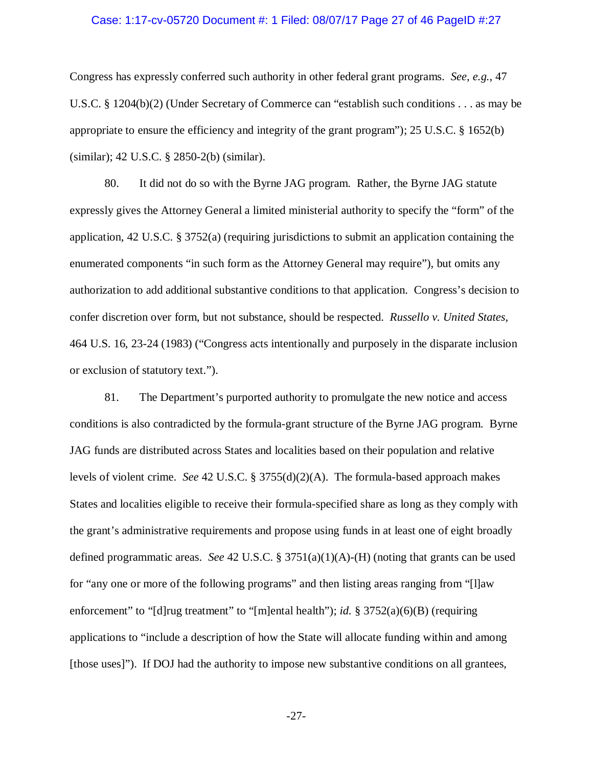### Case: 1:17-cv-05720 Document #: 1 Filed: 08/07/17 Page 27 of 46 PageID #:27

Congress has expressly conferred such authority in other federal grant programs. *See, e.g.*, 47 U.S.C. § 1204(b)(2) (Under Secretary of Commerce can "establish such conditions . . . as may be appropriate to ensure the efficiency and integrity of the grant program"); 25 U.S.C. § 1652(b) (similar); 42 U.S.C. § 2850-2(b) (similar).

80. It did not do so with the Byrne JAG program. Rather, the Byrne JAG statute expressly gives the Attorney General a limited ministerial authority to specify the "form" of the application, 42 U.S.C.  $\S 3752(a)$  (requiring jurisdictions to submit an application containing the enumerated components "in such form as the Attorney General may require"), but omits any authorization to add additional substantive conditions to that application. Congress's decision to confer discretion over form, but not substance, should be respected. *Russello v. United States*, 464 U.S. 16, 23-24 (1983) ("Congress acts intentionally and purposely in the disparate inclusion or exclusion of statutory text.").

81. The Department's purported authority to promulgate the new notice and access conditions is also contradicted by the formula-grant structure of the Byrne JAG program. Byrne JAG funds are distributed across States and localities based on their population and relative levels of violent crime. *See* 42 U.S.C. § 3755(d)(2)(A). The formula-based approach makes States and localities eligible to receive their formula-specified share as long as they comply with the grant's administrative requirements and propose using funds in at least one of eight broadly defined programmatic areas. *See* 42 U.S.C. § 3751(a)(1)(A)-(H) (noting that grants can be used for "any one or more of the following programs" and then listing areas ranging from "[l]aw enforcement" to "[d]rug treatment" to "[m]ental health"); *id.* § 3752(a)(6)(B) (requiring applications to "include a description of how the State will allocate funding within and among [those uses]"). If DOJ had the authority to impose new substantive conditions on all grantees,

-27-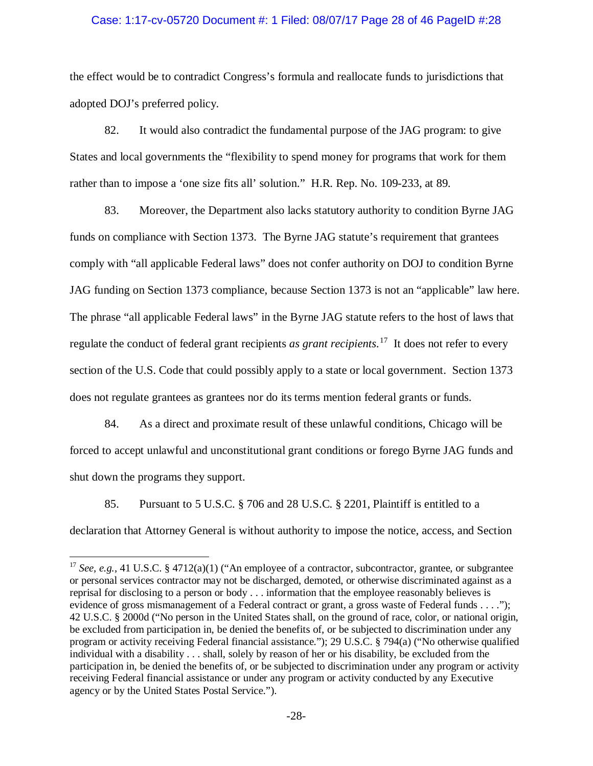### Case: 1:17-cv-05720 Document #: 1 Filed: 08/07/17 Page 28 of 46 PageID #:28

the effect would be to contradict Congress's formula and reallocate funds to jurisdictions that adopted DOJ's preferred policy.

82. It would also contradict the fundamental purpose of the JAG program: to give States and local governments the "flexibility to spend money for programs that work for them rather than to impose a 'one size fits all' solution." H.R. Rep. No. 109-233, at 89.

83. Moreover, the Department also lacks statutory authority to condition Byrne JAG funds on compliance with Section 1373. The Byrne JAG statute's requirement that grantees comply with "all applicable Federal laws" does not confer authority on DOJ to condition Byrne JAG funding on Section 1373 compliance, because Section 1373 is not an "applicable" law here. The phrase "all applicable Federal laws" in the Byrne JAG statute refers to the host of laws that regulate the conduct of federal grant recipients *as grant recipients*. [17](#page-27-0) It does not refer to every section of the U.S. Code that could possibly apply to a state or local government. Section 1373 does not regulate grantees as grantees nor do its terms mention federal grants or funds.

84. As a direct and proximate result of these unlawful conditions, Chicago will be forced to accept unlawful and unconstitutional grant conditions or forego Byrne JAG funds and shut down the programs they support.

85. Pursuant to 5 U.S.C. § 706 and 28 U.S.C. § 2201, Plaintiff is entitled to a declaration that Attorney General is without authority to impose the notice, access, and Section

<span id="page-27-0"></span><sup>&</sup>lt;sup>17</sup> *See, e.g.*, 41 U.S.C. § 4712(a)(1) ("An employee of a contractor, subcontractor, grantee, or subgrantee or personal services contractor may not be discharged, demoted, or otherwise discriminated against as a reprisal for disclosing to a person or body . . . information that the employee reasonably believes is evidence of gross mismanagement of a Federal contract or grant, a gross waste of Federal funds . . . ."); 42 U.S.C. § 2000d ("No person in the United States shall, on the ground of race, color, or national origin, be excluded from participation in, be denied the benefits of, or be subjected to discrimination under any program or activity receiving Federal financial assistance."); 29 U.S.C. § 794(a) ("No otherwise qualified individual with a disability . . . shall, solely by reason of her or his disability, be excluded from the participation in, be denied the benefits of, or be subjected to discrimination under any program or activity receiving Federal financial assistance or under any program or activity conducted by any Executive agency or by the United States Postal Service.").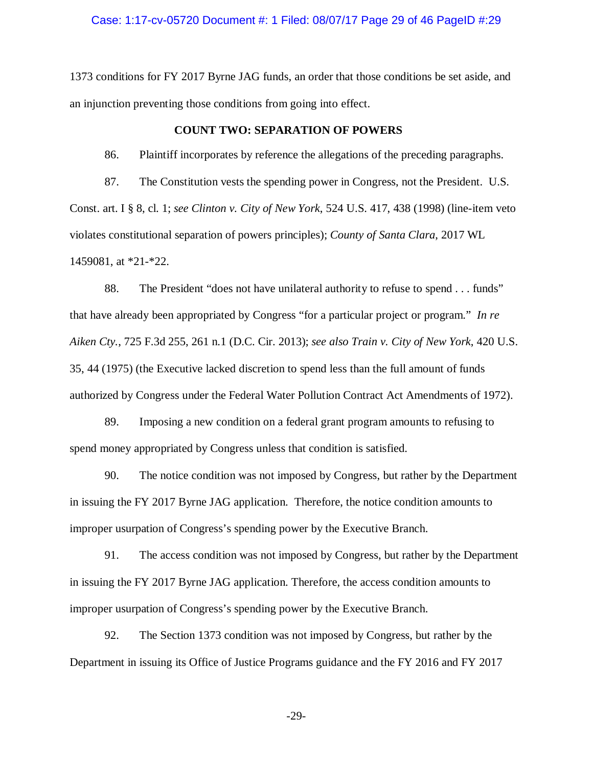### Case: 1:17-cv-05720 Document #: 1 Filed: 08/07/17 Page 29 of 46 PageID #:29

1373 conditions for FY 2017 Byrne JAG funds, an order that those conditions be set aside, and an injunction preventing those conditions from going into effect.

### **COUNT TWO: SEPARATION OF POWERS**

86. Plaintiff incorporates by reference the allegations of the preceding paragraphs.

87. The Constitution vests the spending power in Congress, not the President. U.S. Const. art. I § 8, cl. 1; *see Clinton v. City of New York*, 524 U.S. 417, 438 (1998) (line-item veto violates constitutional separation of powers principles); *County of Santa Clara*, 2017 WL 1459081, at \*21-\*22.

88. The President "does not have unilateral authority to refuse to spend . . . funds" that have already been appropriated by Congress "for a particular project or program." *In re Aiken Cty.*, 725 F.3d 255, 261 n.1 (D.C. Cir. 2013); *see also Train v. City of New York*, 420 U.S. 35, 44 (1975) (the Executive lacked discretion to spend less than the full amount of funds authorized by Congress under the Federal Water Pollution Contract Act Amendments of 1972).

89. Imposing a new condition on a federal grant program amounts to refusing to spend money appropriated by Congress unless that condition is satisfied.

90. The notice condition was not imposed by Congress, but rather by the Department in issuing the FY 2017 Byrne JAG application. Therefore, the notice condition amounts to improper usurpation of Congress's spending power by the Executive Branch.

91. The access condition was not imposed by Congress, but rather by the Department in issuing the FY 2017 Byrne JAG application. Therefore, the access condition amounts to improper usurpation of Congress's spending power by the Executive Branch.

92. The Section 1373 condition was not imposed by Congress, but rather by the Department in issuing its Office of Justice Programs guidance and the FY 2016 and FY 2017

-29-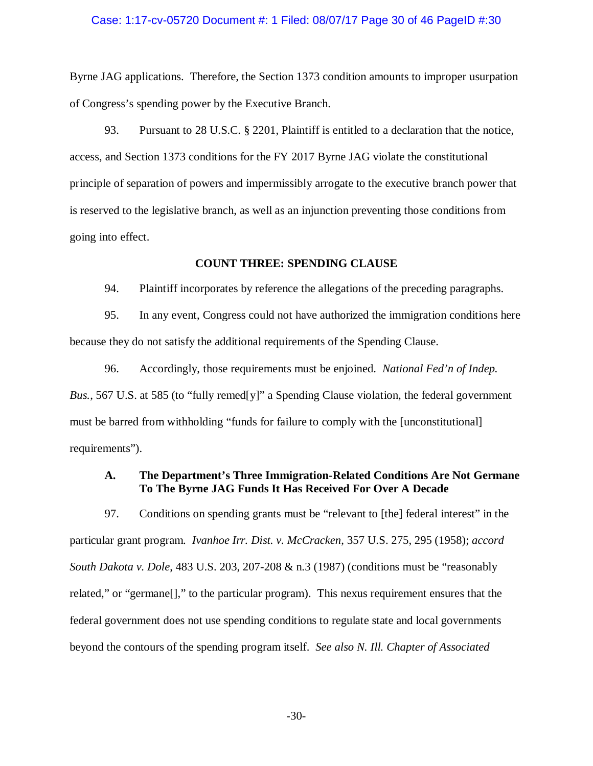### Case: 1:17-cv-05720 Document #: 1 Filed: 08/07/17 Page 30 of 46 PageID #:30

Byrne JAG applications. Therefore, the Section 1373 condition amounts to improper usurpation of Congress's spending power by the Executive Branch.

93. Pursuant to 28 U.S.C. § 2201, Plaintiff is entitled to a declaration that the notice, access, and Section 1373 conditions for the FY 2017 Byrne JAG violate the constitutional principle of separation of powers and impermissibly arrogate to the executive branch power that is reserved to the legislative branch, as well as an injunction preventing those conditions from going into effect.

### **COUNT THREE: SPENDING CLAUSE**

94. Plaintiff incorporates by reference the allegations of the preceding paragraphs.

95. In any event, Congress could not have authorized the immigration conditions here because they do not satisfy the additional requirements of the Spending Clause.

96. Accordingly, those requirements must be enjoined. *National Fed'n of Indep. Bus.*, 567 U.S. at 585 (to "fully remed[y]" a Spending Clause violation, the federal government must be barred from withholding "funds for failure to comply with the [unconstitutional] requirements").

# **A. The Department's Three Immigration-Related Conditions Are Not Germane To The Byrne JAG Funds It Has Received For Over A Decade**

97. Conditions on spending grants must be "relevant to [the] federal interest" in the particular grant program. *Ivanhoe Irr. Dist. v. McCracken*, 357 U.S. 275, 295 (1958); *accord South Dakota v. Dole*, 483 U.S. 203, 207-208 & n.3 (1987) (conditions must be "reasonably related," or "germane[]," to the particular program). This nexus requirement ensures that the federal government does not use spending conditions to regulate state and local governments beyond the contours of the spending program itself. *See also N. Ill. Chapter of Associated*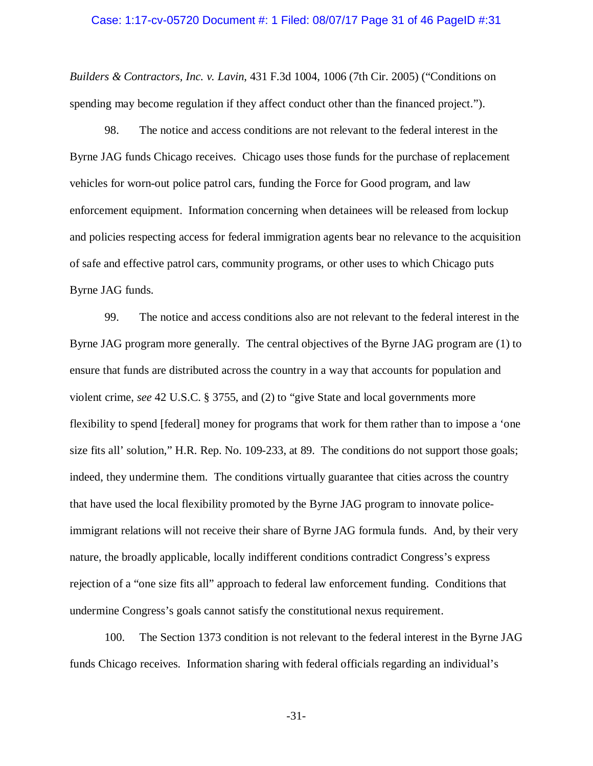### Case: 1:17-cv-05720 Document #: 1 Filed: 08/07/17 Page 31 of 46 PageID #:31

*Builders & Contractors, Inc. v. Lavin*, 431 F.3d 1004, 1006 (7th Cir. 2005) ("Conditions on spending may become regulation if they affect conduct other than the financed project.").

98. The notice and access conditions are not relevant to the federal interest in the Byrne JAG funds Chicago receives. Chicago uses those funds for the purchase of replacement vehicles for worn-out police patrol cars, funding the Force for Good program, and law enforcement equipment. Information concerning when detainees will be released from lockup and policies respecting access for federal immigration agents bear no relevance to the acquisition of safe and effective patrol cars, community programs, or other uses to which Chicago puts Byrne JAG funds.

99. The notice and access conditions also are not relevant to the federal interest in the Byrne JAG program more generally. The central objectives of the Byrne JAG program are (1) to ensure that funds are distributed across the country in a way that accounts for population and violent crime, *see* 42 U.S.C. § 3755, and (2) to "give State and local governments more flexibility to spend [federal] money for programs that work for them rather than to impose a 'one size fits all' solution," H.R. Rep. No. 109-233, at 89. The conditions do not support those goals; indeed, they undermine them. The conditions virtually guarantee that cities across the country that have used the local flexibility promoted by the Byrne JAG program to innovate policeimmigrant relations will not receive their share of Byrne JAG formula funds. And, by their very nature, the broadly applicable, locally indifferent conditions contradict Congress's express rejection of a "one size fits all" approach to federal law enforcement funding. Conditions that undermine Congress's goals cannot satisfy the constitutional nexus requirement.

100. The Section 1373 condition is not relevant to the federal interest in the Byrne JAG funds Chicago receives. Information sharing with federal officials regarding an individual's

-31-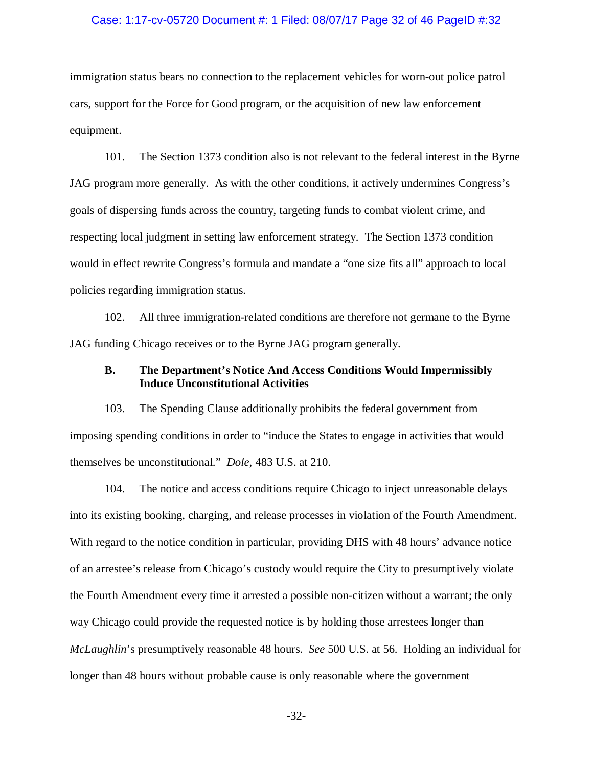#### Case: 1:17-cv-05720 Document #: 1 Filed: 08/07/17 Page 32 of 46 PageID #:32

immigration status bears no connection to the replacement vehicles for worn-out police patrol cars, support for the Force for Good program, or the acquisition of new law enforcement equipment.

101. The Section 1373 condition also is not relevant to the federal interest in the Byrne JAG program more generally. As with the other conditions, it actively undermines Congress's goals of dispersing funds across the country, targeting funds to combat violent crime, and respecting local judgment in setting law enforcement strategy. The Section 1373 condition would in effect rewrite Congress's formula and mandate a "one size fits all" approach to local policies regarding immigration status.

102. All three immigration-related conditions are therefore not germane to the Byrne JAG funding Chicago receives or to the Byrne JAG program generally.

# **B. The Department's Notice And Access Conditions Would Impermissibly Induce Unconstitutional Activities**

103. The Spending Clause additionally prohibits the federal government from imposing spending conditions in order to "induce the States to engage in activities that would themselves be unconstitutional." *Dole*, 483 U.S. at 210.

104. The notice and access conditions require Chicago to inject unreasonable delays into its existing booking, charging, and release processes in violation of the Fourth Amendment. With regard to the notice condition in particular, providing DHS with 48 hours' advance notice of an arrestee's release from Chicago's custody would require the City to presumptively violate the Fourth Amendment every time it arrested a possible non-citizen without a warrant; the only way Chicago could provide the requested notice is by holding those arrestees longer than *McLaughlin*'s presumptively reasonable 48 hours. *See* 500 U.S. at 56. Holding an individual for longer than 48 hours without probable cause is only reasonable where the government

-32-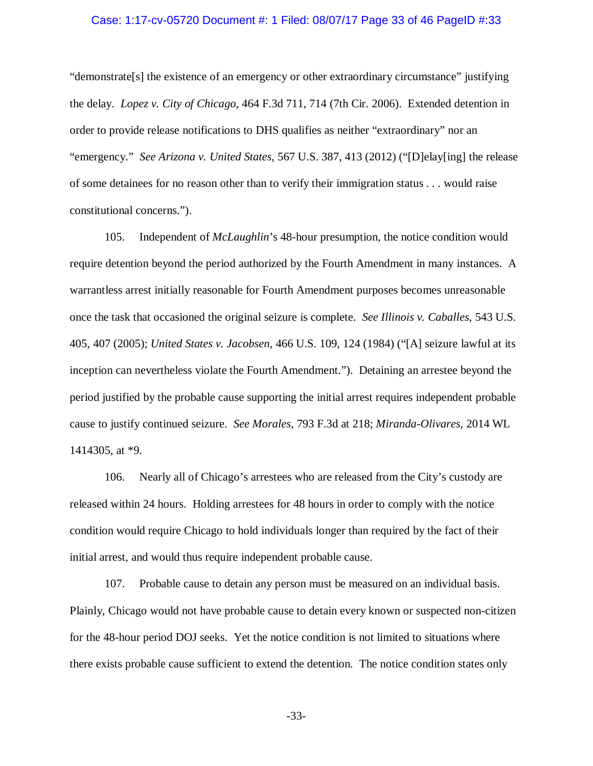# Case: 1:17-cv-05720 Document #: 1 Filed: 08/07/17 Page 33 of 46 PageID #:33

"demonstrate[s] the existence of an emergency or other extraordinary circumstance" justifying the delay. *Lopez v. City of Chicago*, 464 F.3d 711, 714 (7th Cir. 2006). Extended detention in order to provide release notifications to DHS qualifies as neither "extraordinary" nor an "emergency." *See Arizona v. United States*, 567 U.S. 387, 413 (2012) ("[D]elay[ing] the release of some detainees for no reason other than to verify their immigration status . . . would raise constitutional concerns.").

105. Independent of *McLaughlin*'s 48-hour presumption, the notice condition would require detention beyond the period authorized by the Fourth Amendment in many instances. A warrantless arrest initially reasonable for Fourth Amendment purposes becomes unreasonable once the task that occasioned the original seizure is complete. *See Illinois v. Caballes*, 543 U.S. 405, 407 (2005); *United States v. Jacobsen*, 466 U.S. 109, 124 (1984) ("[A] seizure lawful at its inception can nevertheless violate the Fourth Amendment."). Detaining an arrestee beyond the period justified by the probable cause supporting the initial arrest requires independent probable cause to justify continued seizure. *See Morales*, 793 F.3d at 218; *Miranda-Olivares*, 2014 WL 1414305, at \*9.

106. Nearly all of Chicago's arrestees who are released from the City's custody are released within 24 hours. Holding arrestees for 48 hours in order to comply with the notice condition would require Chicago to hold individuals longer than required by the fact of their initial arrest, and would thus require independent probable cause.

107. Probable cause to detain any person must be measured on an individual basis. Plainly, Chicago would not have probable cause to detain every known or suspected non-citizen for the 48-hour period DOJ seeks. Yet the notice condition is not limited to situations where there exists probable cause sufficient to extend the detention. The notice condition states only

-33-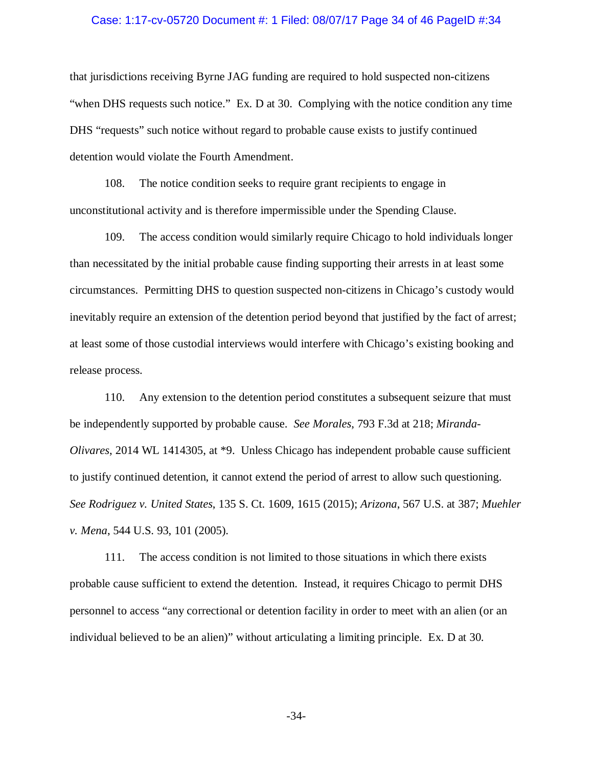#### Case: 1:17-cv-05720 Document #: 1 Filed: 08/07/17 Page 34 of 46 PageID #:34

that jurisdictions receiving Byrne JAG funding are required to hold suspected non-citizens "when DHS requests such notice." Ex. D at 30. Complying with the notice condition any time DHS "requests" such notice without regard to probable cause exists to justify continued detention would violate the Fourth Amendment.

108. The notice condition seeks to require grant recipients to engage in unconstitutional activity and is therefore impermissible under the Spending Clause.

109. The access condition would similarly require Chicago to hold individuals longer than necessitated by the initial probable cause finding supporting their arrests in at least some circumstances. Permitting DHS to question suspected non-citizens in Chicago's custody would inevitably require an extension of the detention period beyond that justified by the fact of arrest; at least some of those custodial interviews would interfere with Chicago's existing booking and release process.

110. Any extension to the detention period constitutes a subsequent seizure that must be independently supported by probable cause. *See Morales*, 793 F.3d at 218; *Miranda-Olivares*, 2014 WL 1414305, at \*9. Unless Chicago has independent probable cause sufficient to justify continued detention, it cannot extend the period of arrest to allow such questioning. *See Rodriguez v. United States*, 135 S. Ct. 1609, 1615 (2015); *Arizona*, 567 U.S. at 387; *Muehler v. Mena*, 544 U.S. 93, 101 (2005).

111. The access condition is not limited to those situations in which there exists probable cause sufficient to extend the detention. Instead, it requires Chicago to permit DHS personnel to access "any correctional or detention facility in order to meet with an alien (or an individual believed to be an alien)" without articulating a limiting principle. Ex. D at 30.

-34-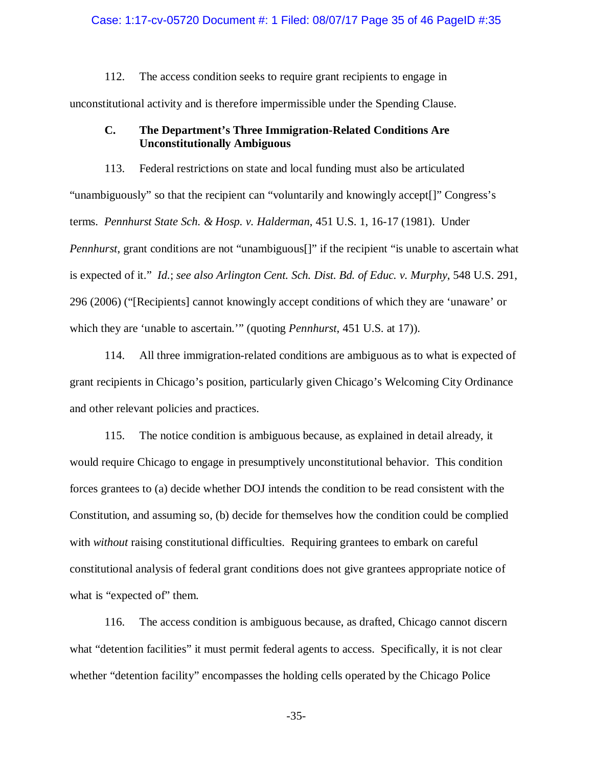### Case: 1:17-cv-05720 Document #: 1 Filed: 08/07/17 Page 35 of 46 PageID #:35

112. The access condition seeks to require grant recipients to engage in unconstitutional activity and is therefore impermissible under the Spending Clause.

## **C. The Department's Three Immigration-Related Conditions Are Unconstitutionally Ambiguous**

113. Federal restrictions on state and local funding must also be articulated "unambiguously" so that the recipient can "voluntarily and knowingly accept[]" Congress's terms. *Pennhurst State Sch. & Hosp. v. Halderman*, 451 U.S. 1, 16-17 (1981). Under *Pennhurst*, grant conditions are not "unambiguous<sup>[]"</sup> if the recipient "is unable to ascertain what is expected of it." *Id.*; *see also Arlington Cent. Sch. Dist. Bd. of Educ. v. Murphy*, 548 U.S. 291, 296 (2006) ("[Recipients] cannot knowingly accept conditions of which they are 'unaware' or which they are 'unable to ascertain.'" (quoting *Pennhurst*, 451 U.S. at 17)).

114. All three immigration-related conditions are ambiguous as to what is expected of grant recipients in Chicago's position, particularly given Chicago's Welcoming City Ordinance and other relevant policies and practices.

115. The notice condition is ambiguous because, as explained in detail already, it would require Chicago to engage in presumptively unconstitutional behavior. This condition forces grantees to (a) decide whether DOJ intends the condition to be read consistent with the Constitution, and assuming so, (b) decide for themselves how the condition could be complied with *without* raising constitutional difficulties. Requiring grantees to embark on careful constitutional analysis of federal grant conditions does not give grantees appropriate notice of what is "expected of" them.

116. The access condition is ambiguous because, as drafted, Chicago cannot discern what "detention facilities" it must permit federal agents to access. Specifically, it is not clear whether "detention facility" encompasses the holding cells operated by the Chicago Police

-35-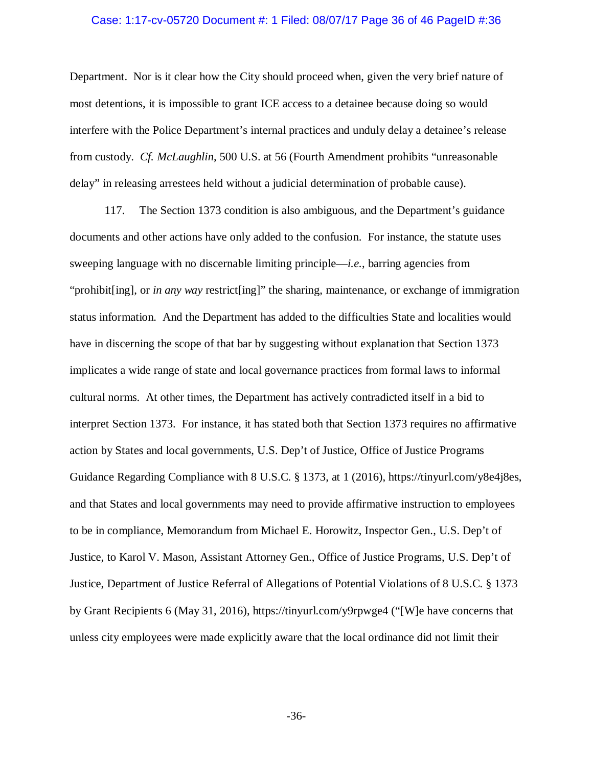### Case: 1:17-cv-05720 Document #: 1 Filed: 08/07/17 Page 36 of 46 PageID #:36

Department. Nor is it clear how the City should proceed when, given the very brief nature of most detentions, it is impossible to grant ICE access to a detainee because doing so would interfere with the Police Department's internal practices and unduly delay a detainee's release from custody. *Cf. McLaughlin*, 500 U.S. at 56 (Fourth Amendment prohibits "unreasonable delay" in releasing arrestees held without a judicial determination of probable cause).

117. The Section 1373 condition is also ambiguous, and the Department's guidance documents and other actions have only added to the confusion. For instance, the statute uses sweeping language with no discernable limiting principle—*i.e.*, barring agencies from "prohibit[ing], or *in any way* restrict[ing]" the sharing, maintenance, or exchange of immigration status information. And the Department has added to the difficulties State and localities would have in discerning the scope of that bar by suggesting without explanation that Section 1373 implicates a wide range of state and local governance practices from formal laws to informal cultural norms. At other times, the Department has actively contradicted itself in a bid to interpret Section 1373. For instance, it has stated both that Section 1373 requires no affirmative action by States and local governments, U.S. Dep't of Justice, Office of Justice Programs Guidance Regarding Compliance with 8 U.S.C. § 1373, at 1 (2016), https://tinyurl.com/y8e4j8es, and that States and local governments may need to provide affirmative instruction to employees to be in compliance, Memorandum from Michael E. Horowitz, Inspector Gen., U.S. Dep't of Justice, to Karol V. Mason, Assistant Attorney Gen., Office of Justice Programs, U.S. Dep't of Justice, Department of Justice Referral of Allegations of Potential Violations of 8 U.S.C. § 1373 by Grant Recipients 6 (May 31, 2016), https://tinyurl.com/y9rpwge4 ("[W]e have concerns that unless city employees were made explicitly aware that the local ordinance did not limit their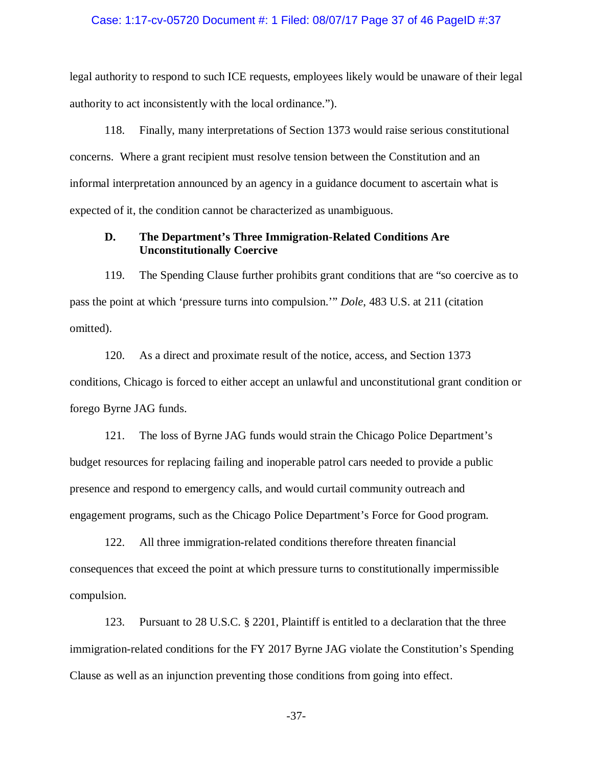#### Case: 1:17-cv-05720 Document #: 1 Filed: 08/07/17 Page 37 of 46 PageID #:37

legal authority to respond to such ICE requests, employees likely would be unaware of their legal authority to act inconsistently with the local ordinance.").

118. Finally, many interpretations of Section 1373 would raise serious constitutional concerns. Where a grant recipient must resolve tension between the Constitution and an informal interpretation announced by an agency in a guidance document to ascertain what is expected of it, the condition cannot be characterized as unambiguous.

# **D. The Department's Three Immigration-Related Conditions Are Unconstitutionally Coercive**

119. The Spending Clause further prohibits grant conditions that are "so coercive as to pass the point at which 'pressure turns into compulsion.'" *Dole*, 483 U.S. at 211 (citation omitted).

120. As a direct and proximate result of the notice, access, and Section 1373 conditions, Chicago is forced to either accept an unlawful and unconstitutional grant condition or forego Byrne JAG funds.

121. The loss of Byrne JAG funds would strain the Chicago Police Department's budget resources for replacing failing and inoperable patrol cars needed to provide a public presence and respond to emergency calls, and would curtail community outreach and engagement programs, such as the Chicago Police Department's Force for Good program.

122. All three immigration-related conditions therefore threaten financial consequences that exceed the point at which pressure turns to constitutionally impermissible compulsion.

123. Pursuant to 28 U.S.C. § 2201, Plaintiff is entitled to a declaration that the three immigration-related conditions for the FY 2017 Byrne JAG violate the Constitution's Spending Clause as well as an injunction preventing those conditions from going into effect.

-37-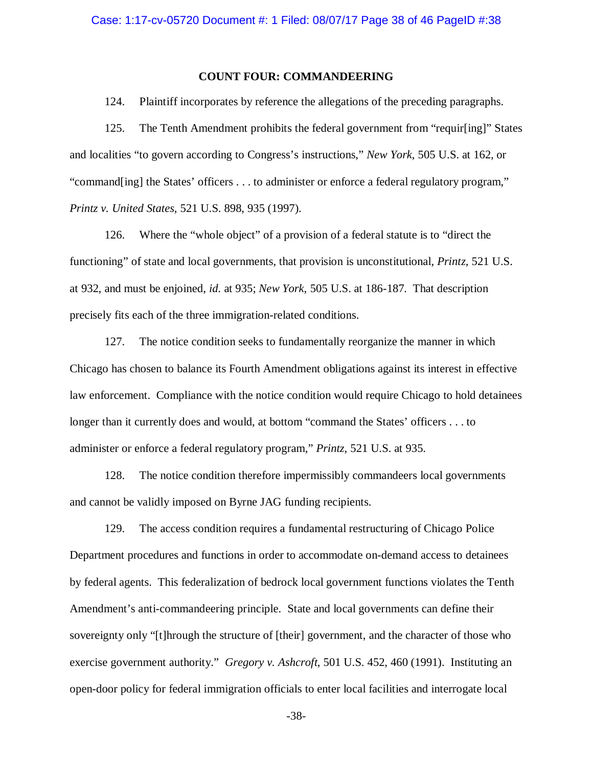## **COUNT FOUR: COMMANDEERING**

124. Plaintiff incorporates by reference the allegations of the preceding paragraphs.

125. The Tenth Amendment prohibits the federal government from "requir[ing]" States and localities "to govern according to Congress's instructions," *New York*, 505 U.S. at 162, or "command[ing] the States' officers . . . to administer or enforce a federal regulatory program," *Printz v. United States*, 521 U.S. 898, 935 (1997).

126. Where the "whole object" of a provision of a federal statute is to "direct the functioning" of state and local governments, that provision is unconstitutional, *Printz*, 521 U.S. at 932, and must be enjoined, *id.* at 935; *New York*, 505 U.S. at 186-187. That description precisely fits each of the three immigration-related conditions.

127. The notice condition seeks to fundamentally reorganize the manner in which Chicago has chosen to balance its Fourth Amendment obligations against its interest in effective law enforcement. Compliance with the notice condition would require Chicago to hold detainees longer than it currently does and would, at bottom "command the States' officers . . . to administer or enforce a federal regulatory program," *Printz*, 521 U.S. at 935.

128. The notice condition therefore impermissibly commandeers local governments and cannot be validly imposed on Byrne JAG funding recipients.

129. The access condition requires a fundamental restructuring of Chicago Police Department procedures and functions in order to accommodate on-demand access to detainees by federal agents. This federalization of bedrock local government functions violates the Tenth Amendment's anti-commandeering principle. State and local governments can define their sovereignty only "[t]hrough the structure of [their] government, and the character of those who exercise government authority." *Gregory v. Ashcroft*, 501 U.S. 452, 460 (1991). Instituting an open-door policy for federal immigration officials to enter local facilities and interrogate local

-38-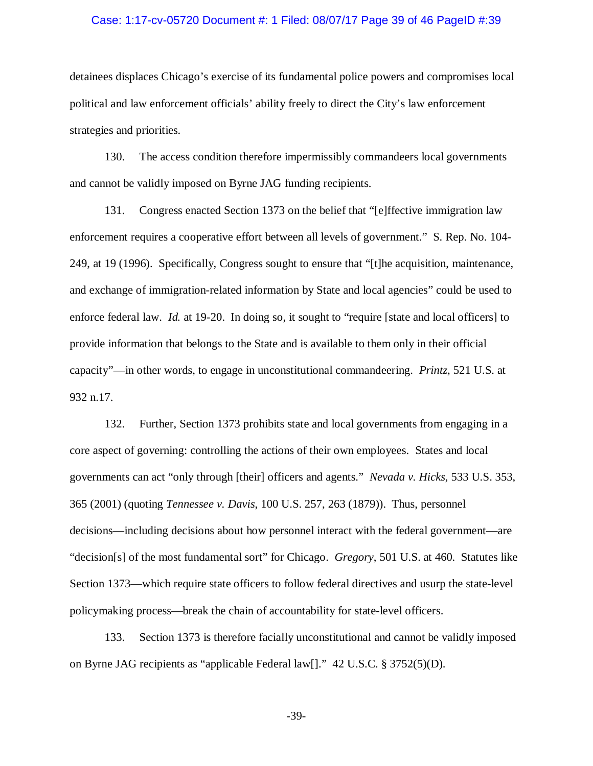#### Case: 1:17-cv-05720 Document #: 1 Filed: 08/07/17 Page 39 of 46 PageID #:39

detainees displaces Chicago's exercise of its fundamental police powers and compromises local political and law enforcement officials' ability freely to direct the City's law enforcement strategies and priorities.

130. The access condition therefore impermissibly commandeers local governments and cannot be validly imposed on Byrne JAG funding recipients.

131. Congress enacted Section 1373 on the belief that "[e]ffective immigration law enforcement requires a cooperative effort between all levels of government." S. Rep. No. 104- 249, at 19 (1996). Specifically, Congress sought to ensure that "[t]he acquisition, maintenance, and exchange of immigration-related information by State and local agencies" could be used to enforce federal law. *Id.* at 19-20. In doing so, it sought to "require [state and local officers] to provide information that belongs to the State and is available to them only in their official capacity"—in other words, to engage in unconstitutional commandeering. *Printz*, 521 U.S. at 932 n.17.

132. Further, Section 1373 prohibits state and local governments from engaging in a core aspect of governing: controlling the actions of their own employees. States and local governments can act "only through [their] officers and agents." *Nevada v. Hicks*, 533 U.S. 353, 365 (2001) (quoting *Tennessee v. Davis*, 100 U.S. 257, 263 (1879)). Thus, personnel decisions—including decisions about how personnel interact with the federal government—are "decision[s] of the most fundamental sort" for Chicago. *Gregory*, 501 U.S. at 460. Statutes like Section 1373—which require state officers to follow federal directives and usurp the state-level policymaking process—break the chain of accountability for state-level officers.

133. Section 1373 is therefore facially unconstitutional and cannot be validly imposed on Byrne JAG recipients as "applicable Federal law[]." 42 U.S.C. § 3752(5)(D).

-39-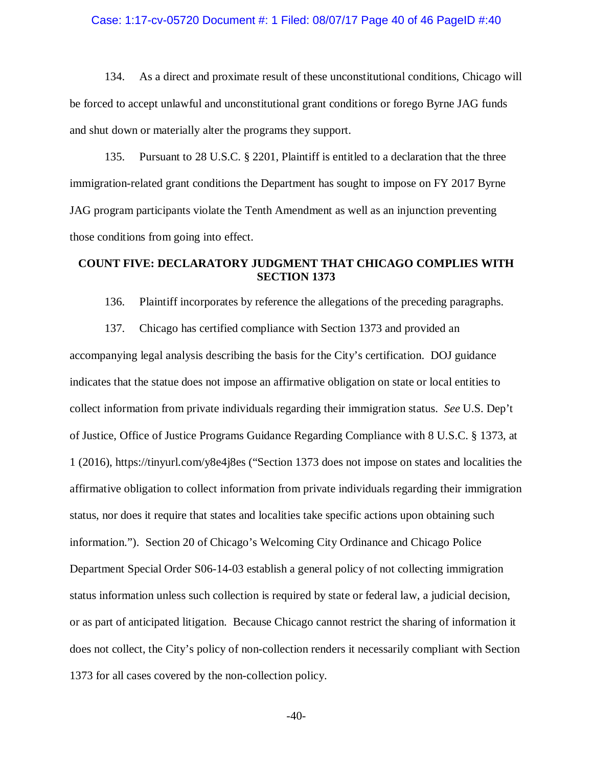#### Case: 1:17-cv-05720 Document #: 1 Filed: 08/07/17 Page 40 of 46 PageID #:40

134. As a direct and proximate result of these unconstitutional conditions, Chicago will be forced to accept unlawful and unconstitutional grant conditions or forego Byrne JAG funds and shut down or materially alter the programs they support.

135. Pursuant to 28 U.S.C. § 2201, Plaintiff is entitled to a declaration that the three immigration-related grant conditions the Department has sought to impose on FY 2017 Byrne JAG program participants violate the Tenth Amendment as well as an injunction preventing those conditions from going into effect.

# **COUNT FIVE: DECLARATORY JUDGMENT THAT CHICAGO COMPLIES WITH SECTION 1373**

136. Plaintiff incorporates by reference the allegations of the preceding paragraphs.

137. Chicago has certified compliance with Section 1373 and provided an

accompanying legal analysis describing the basis for the City's certification. DOJ guidance indicates that the statue does not impose an affirmative obligation on state or local entities to collect information from private individuals regarding their immigration status. *See* U.S. Dep't of Justice, Office of Justice Programs Guidance Regarding Compliance with 8 U.S.C. § 1373, at 1 (2016), https://tinyurl.com/y8e4j8es ("Section 1373 does not impose on states and localities the affirmative obligation to collect information from private individuals regarding their immigration status, nor does it require that states and localities take specific actions upon obtaining such information."). Section 20 of Chicago's Welcoming City Ordinance and Chicago Police Department Special Order S06-14-03 establish a general policy of not collecting immigration status information unless such collection is required by state or federal law, a judicial decision, or as part of anticipated litigation. Because Chicago cannot restrict the sharing of information it does not collect, the City's policy of non-collection renders it necessarily compliant with Section 1373 for all cases covered by the non-collection policy.

 $-40-$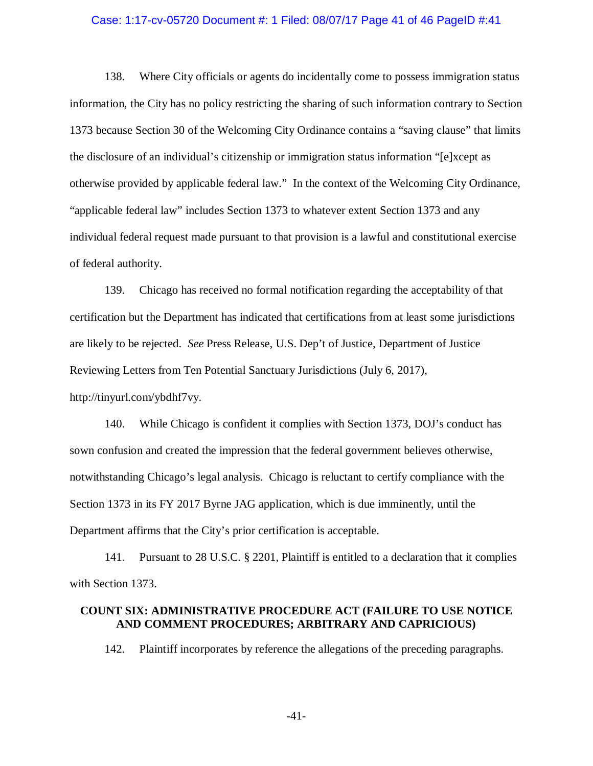### Case: 1:17-cv-05720 Document #: 1 Filed: 08/07/17 Page 41 of 46 PageID #:41

138. Where City officials or agents do incidentally come to possess immigration status information, the City has no policy restricting the sharing of such information contrary to Section 1373 because Section 30 of the Welcoming City Ordinance contains a "saving clause" that limits the disclosure of an individual's citizenship or immigration status information "[e]xcept as otherwise provided by applicable federal law." In the context of the Welcoming City Ordinance, "applicable federal law" includes Section 1373 to whatever extent Section 1373 and any individual federal request made pursuant to that provision is a lawful and constitutional exercise of federal authority.

139. Chicago has received no formal notification regarding the acceptability of that certification but the Department has indicated that certifications from at least some jurisdictions are likely to be rejected. *See* Press Release, U.S. Dep't of Justice, Department of Justice Reviewing Letters from Ten Potential Sanctuary Jurisdictions (July 6, 2017), http://tinyurl.com/ybdhf7vy.

140. While Chicago is confident it complies with Section 1373, DOJ's conduct has sown confusion and created the impression that the federal government believes otherwise, notwithstanding Chicago's legal analysis. Chicago is reluctant to certify compliance with the Section 1373 in its FY 2017 Byrne JAG application, which is due imminently, until the Department affirms that the City's prior certification is acceptable.

141. Pursuant to 28 U.S.C. § 2201, Plaintiff is entitled to a declaration that it complies with Section 1373.

### **COUNT SIX: ADMINISTRATIVE PROCEDURE ACT (FAILURE TO USE NOTICE AND COMMENT PROCEDURES; ARBITRARY AND CAPRICIOUS)**

142. Plaintiff incorporates by reference the allegations of the preceding paragraphs.

-41-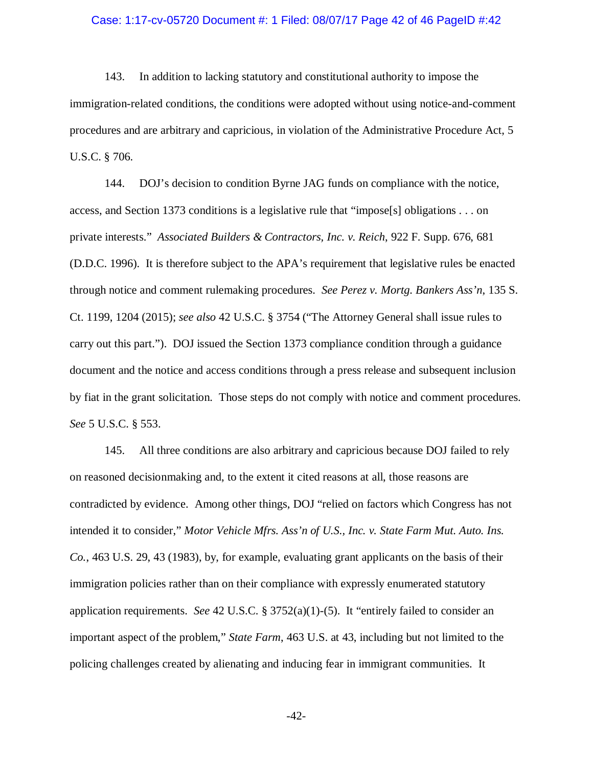# Case: 1:17-cv-05720 Document #: 1 Filed: 08/07/17 Page 42 of 46 PageID #:42

143. In addition to lacking statutory and constitutional authority to impose the immigration-related conditions, the conditions were adopted without using notice-and-comment procedures and are arbitrary and capricious, in violation of the Administrative Procedure Act, 5 U.S.C. § 706.

144. DOJ's decision to condition Byrne JAG funds on compliance with the notice, access, and Section 1373 conditions is a legislative rule that "impose[s] obligations . . . on private interests." *Associated Builders & Contractors, Inc. v. Reich*, 922 F. Supp. 676, 681 (D.D.C. 1996). It is therefore subject to the APA's requirement that legislative rules be enacted through notice and comment rulemaking procedures. *See Perez v. Mortg. Bankers Ass'n*, 135 S. Ct. 1199, 1204 (2015); *see also* 42 U.S.C. § 3754 ("The Attorney General shall issue rules to carry out this part."). DOJ issued the Section 1373 compliance condition through a guidance document and the notice and access conditions through a press release and subsequent inclusion by fiat in the grant solicitation. Those steps do not comply with notice and comment procedures. *See* 5 U.S.C. § 553.

145. All three conditions are also arbitrary and capricious because DOJ failed to rely on reasoned decisionmaking and, to the extent it cited reasons at all, those reasons are contradicted by evidence. Among other things, DOJ "relied on factors which Congress has not intended it to consider," *Motor Vehicle Mfrs. Ass'n of U.S., Inc. v. State Farm Mut. Auto. Ins. Co.*, 463 U.S. 29, 43 (1983), by, for example, evaluating grant applicants on the basis of their immigration policies rather than on their compliance with expressly enumerated statutory application requirements. *See* 42 U.S.C. § 3752(a)(1)-(5). It "entirely failed to consider an important aspect of the problem," *State Farm*, 463 U.S. at 43, including but not limited to the policing challenges created by alienating and inducing fear in immigrant communities. It

-42-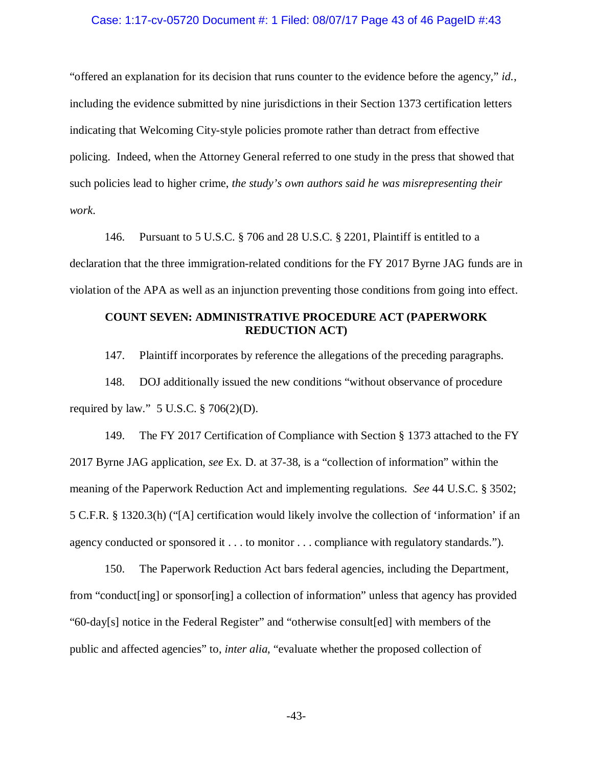### Case: 1:17-cv-05720 Document #: 1 Filed: 08/07/17 Page 43 of 46 PageID #:43

"offered an explanation for its decision that runs counter to the evidence before the agency," *id.*, including the evidence submitted by nine jurisdictions in their Section 1373 certification letters indicating that Welcoming City-style policies promote rather than detract from effective policing. Indeed, when the Attorney General referred to one study in the press that showed that such policies lead to higher crime, *the study's own authors said he was misrepresenting their work*.

146. Pursuant to 5 U.S.C. § 706 and 28 U.S.C. § 2201, Plaintiff is entitled to a declaration that the three immigration-related conditions for the FY 2017 Byrne JAG funds are in violation of the APA as well as an injunction preventing those conditions from going into effect.

# **COUNT SEVEN: ADMINISTRATIVE PROCEDURE ACT (PAPERWORK REDUCTION ACT)**

147. Plaintiff incorporates by reference the allegations of the preceding paragraphs.

148. DOJ additionally issued the new conditions "without observance of procedure required by law."  $5 \text{ U.S.C.} \$  706(2)(D).

149. The FY 2017 Certification of Compliance with Section § 1373 attached to the FY 2017 Byrne JAG application, *see* Ex. D. at 37-38, is a "collection of information" within the meaning of the Paperwork Reduction Act and implementing regulations. *See* 44 U.S.C. § 3502; 5 C.F.R. § 1320.3(h) ("[A] certification would likely involve the collection of 'information' if an agency conducted or sponsored it . . . to monitor . . . compliance with regulatory standards.").

150. The Paperwork Reduction Act bars federal agencies, including the Department, from "conduct[ing] or sponsor[ing] a collection of information" unless that agency has provided "60-day[s] notice in the Federal Register" and "otherwise consult[ed] with members of the public and affected agencies" to, *inter alia*, "evaluate whether the proposed collection of

-43-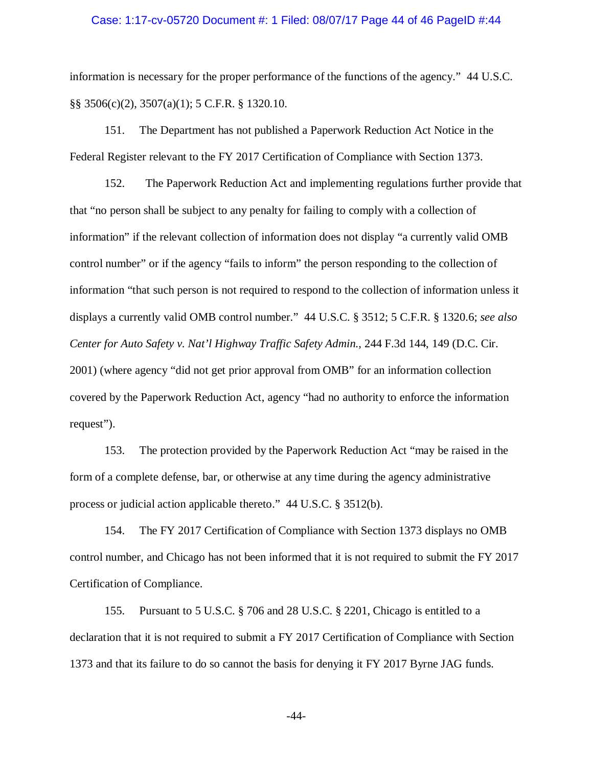### Case: 1:17-cv-05720 Document #: 1 Filed: 08/07/17 Page 44 of 46 PageID #:44

information is necessary for the proper performance of the functions of the agency." 44 U.S.C. §§ 3506(c)(2), 3507(a)(1); 5 C.F.R. § 1320.10.

151. The Department has not published a Paperwork Reduction Act Notice in the Federal Register relevant to the FY 2017 Certification of Compliance with Section 1373.

152. The Paperwork Reduction Act and implementing regulations further provide that that "no person shall be subject to any penalty for failing to comply with a collection of information" if the relevant collection of information does not display "a currently valid OMB control number" or if the agency "fails to inform" the person responding to the collection of information "that such person is not required to respond to the collection of information unless it displays a currently valid OMB control number." 44 U.S.C. § 3512; 5 C.F.R. § 1320.6; *see also Center for Auto Safety v. Nat'l Highway Traffic Safety Admin.*, 244 F.3d 144, 149 (D.C. Cir. 2001) (where agency "did not get prior approval from OMB" for an information collection covered by the Paperwork Reduction Act, agency "had no authority to enforce the information request").

153. The protection provided by the Paperwork Reduction Act "may be raised in the form of a complete defense, bar, or otherwise at any time during the agency administrative process or judicial action applicable thereto." 44 U.S.C. § 3512(b).

154. The FY 2017 Certification of Compliance with Section 1373 displays no OMB control number, and Chicago has not been informed that it is not required to submit the FY 2017 Certification of Compliance.

155. Pursuant to 5 U.S.C. § 706 and 28 U.S.C. § 2201, Chicago is entitled to a declaration that it is not required to submit a FY 2017 Certification of Compliance with Section 1373 and that its failure to do so cannot the basis for denying it FY 2017 Byrne JAG funds.

-44-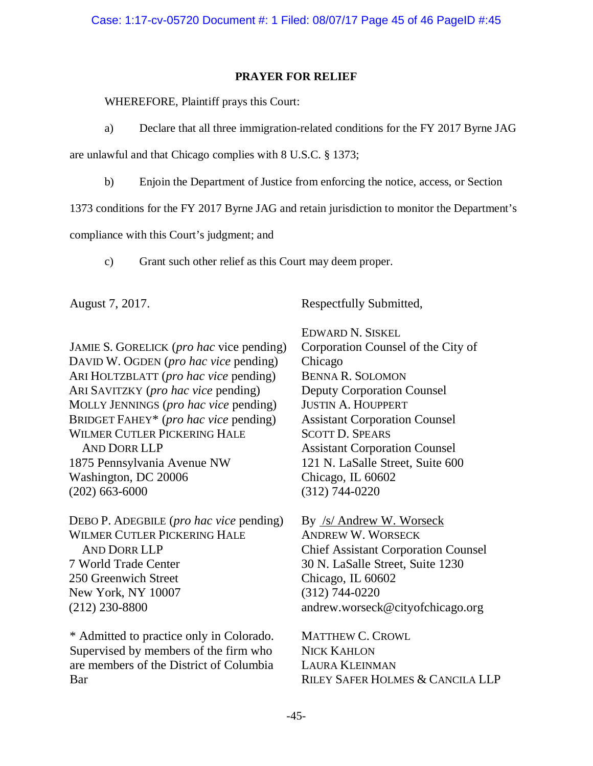# **PRAYER FOR RELIEF**

WHEREFORE, Plaintiff prays this Court:

a) Declare that all three immigration-related conditions for the FY 2017 Byrne JAG

are unlawful and that Chicago complies with 8 U.S.C. § 1373;

b) Enjoin the Department of Justice from enforcing the notice, access, or Section

1373 conditions for the FY 2017 Byrne JAG and retain jurisdiction to monitor the Department's

compliance with this Court's judgment; and

c) Grant such other relief as this Court may deem proper.

August 7, 2017.

Respectfully Submitted,

JAMIE S. GORELICK (*pro hac* vice pending) DAVID W. OGDEN (*pro hac vice* pending) ARI HOLTZBLATT (*pro hac vice* pending) ARI SAVITZKY (*pro hac vice* pending) MOLLY JENNINGS (*pro hac vice* pending) BRIDGET FAHEY\* (*pro hac vice* pending) WILMER CUTLER PICKERING HALE AND DORR LLP 1875 Pennsylvania Avenue NW Washington, DC 20006 (202) 663-6000

DEBO P. ADEGBILE (*pro hac vice* pending) WILMER CUTLER PICKERING HALE AND DORR LLP 7 World Trade Center 250 Greenwich Street New York, NY 10007 (212) 230-8800

\* Admitted to practice only in Colorado. Supervised by members of the firm who are members of the District of Columbia Bar

EDWARD N. SISKEL Corporation Counsel of the City of Chicago BENNA R. SOLOMON Deputy Corporation Counsel JUSTIN A. HOUPPERT Assistant Corporation Counsel SCOTT D. SPEARS Assistant Corporation Counsel 121 N. LaSalle Street, Suite 600 Chicago, IL 60602 (312) 744-0220

By /s/ Andrew W. Worseck ANDREW W. WORSECK Chief Assistant Corporation Counsel 30 N. LaSalle Street, Suite 1230 Chicago, IL 60602 (312) 744-0220 andrew.worseck@cityofchicago.org

MATTHEW C. CROWL NICK KAHLON LAURA KLEINMAN RILEY SAFER HOLMES & CANCILA LLP